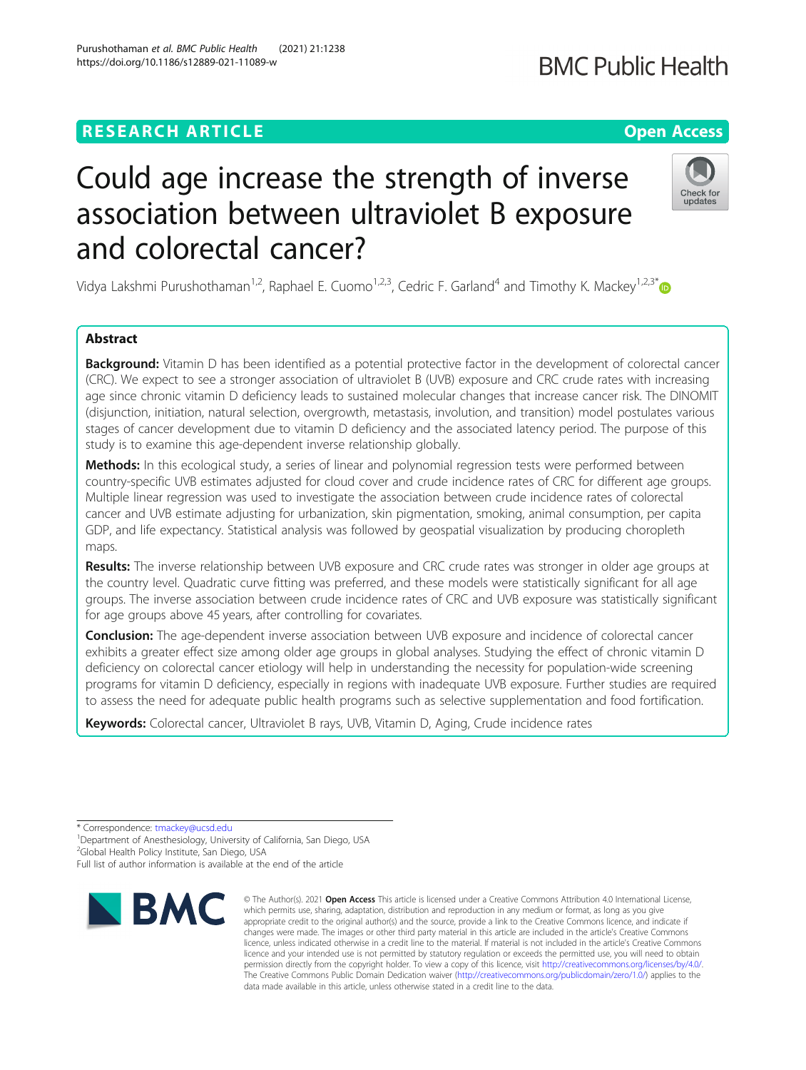# **RESEARCH ARTICLE Example 2014 12:30 The Contract of Contract ACCESS**

# Could age increase the strength of inverse association between ultraviolet B exposure and colorectal cancer?

Vidya Lakshmi Purushothaman<sup>1,2</sup>, Raphael E. Cuomo<sup>1,2,3</sup>, Cedric F. Garland<sup>4</sup> and Timothy K. Mackey<sup>1,2,3[\\*](http://orcid.org/0000-0002-2191-7833)</sup>

# Abstract

Background: Vitamin D has been identified as a potential protective factor in the development of colorectal cancer (CRC). We expect to see a stronger association of ultraviolet B (UVB) exposure and CRC crude rates with increasing age since chronic vitamin D deficiency leads to sustained molecular changes that increase cancer risk. The DINOMIT (disjunction, initiation, natural selection, overgrowth, metastasis, involution, and transition) model postulates various stages of cancer development due to vitamin D deficiency and the associated latency period. The purpose of this study is to examine this age-dependent inverse relationship globally.

Methods: In this ecological study, a series of linear and polynomial regression tests were performed between country-specific UVB estimates adjusted for cloud cover and crude incidence rates of CRC for different age groups. Multiple linear regression was used to investigate the association between crude incidence rates of colorectal cancer and UVB estimate adjusting for urbanization, skin pigmentation, smoking, animal consumption, per capita GDP, and life expectancy. Statistical analysis was followed by geospatial visualization by producing choropleth maps.

Results: The inverse relationship between UVB exposure and CRC crude rates was stronger in older age groups at the country level. Quadratic curve fitting was preferred, and these models were statistically significant for all age groups. The inverse association between crude incidence rates of CRC and UVB exposure was statistically significant for age groups above 45 years, after controlling for covariates.

Conclusion: The age-dependent inverse association between UVB exposure and incidence of colorectal cancer exhibits a greater effect size among older age groups in global analyses. Studying the effect of chronic vitamin D deficiency on colorectal cancer etiology will help in understanding the necessity for population-wide screening programs for vitamin D deficiency, especially in regions with inadequate UVB exposure. Further studies are required to assess the need for adequate public health programs such as selective supplementation and food fortification.

Keywords: Colorectal cancer, Ultraviolet B rays, UVB, Vitamin D, Aging, Crude incidence rates

\* Correspondence: [tmackey@ucsd.edu](mailto:tmackey@ucsd.edu) <sup>1</sup>

<sup>1</sup>Department of Anesthesiology, University of California, San Diego, USA

2 Global Health Policy Institute, San Diego, USA

Full list of author information is available at the end of the article

© The Author(s), 2021 **Open Access** This article is licensed under a Creative Commons Attribution 4.0 International License, which permits use, sharing, adaptation, distribution and reproduction in any medium or format, as long as you give appropriate credit to the original author(s) and the source, provide a link to the Creative Commons licence, and indicate if changes were made. The images or other third party material in this article are included in the article's Creative Commons licence, unless indicated otherwise in a credit line to the material. If material is not included in the article's Creative Commons licence and your intended use is not permitted by statutory regulation or exceeds the permitted use, you will need to obtain permission directly from the copyright holder. To view a copy of this licence, visit [http://creativecommons.org/licenses/by/4.0/.](http://creativecommons.org/licenses/by/4.0/) The Creative Commons Public Domain Dedication waiver [\(http://creativecommons.org/publicdomain/zero/1.0/](http://creativecommons.org/publicdomain/zero/1.0/)) applies to the data made available in this article, unless otherwise stated in a credit line to the data.

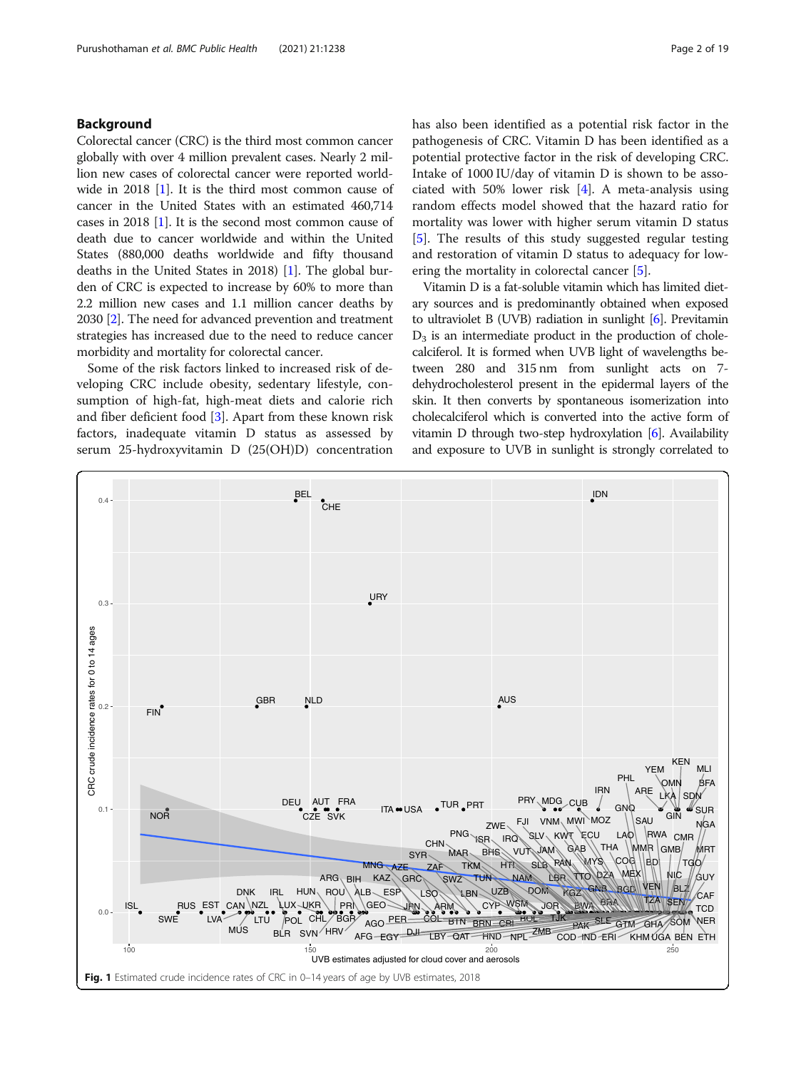#### <span id="page-1-0"></span>Background

Colorectal cancer (CRC) is the third most common cancer globally with over 4 million prevalent cases. Nearly 2 million new cases of colorectal cancer were reported worldwide in 2018 [[1\]](#page-17-0). It is the third most common cause of cancer in the United States with an estimated 460,714 cases in 2018 [[1\]](#page-17-0). It is the second most common cause of death due to cancer worldwide and within the United States (880,000 deaths worldwide and fifty thousand deaths in the United States in 2018) [\[1](#page-17-0)]. The global burden of CRC is expected to increase by 60% to more than 2.2 million new cases and 1.1 million cancer deaths by 2030 [[2](#page-17-0)]. The need for advanced prevention and treatment strategies has increased due to the need to reduce cancer morbidity and mortality for colorectal cancer.

Some of the risk factors linked to increased risk of developing CRC include obesity, sedentary lifestyle, consumption of high-fat, high-meat diets and calorie rich and fiber deficient food [[3\]](#page-17-0). Apart from these known risk factors, inadequate vitamin D status as assessed by serum 25-hydroxyvitamin D (25(OH)D) concentration has also been identified as a potential risk factor in the pathogenesis of CRC. Vitamin D has been identified as a potential protective factor in the risk of developing CRC. Intake of 1000 IU/day of vitamin D is shown to be associated with 50% lower risk [\[4](#page-17-0)]. A meta-analysis using random effects model showed that the hazard ratio for mortality was lower with higher serum vitamin D status [[5\]](#page-17-0). The results of this study suggested regular testing and restoration of vitamin D status to adequacy for lowering the mortality in colorectal cancer [[5\]](#page-17-0).

Vitamin D is a fat-soluble vitamin which has limited dietary sources and is predominantly obtained when exposed to ultraviolet B (UVB) radiation in sunlight [\[6\]](#page-17-0). Previtamin  $D_3$  is an intermediate product in the production of cholecalciferol. It is formed when UVB light of wavelengths between 280 and 315 nm from sunlight acts on 7 dehydrocholesterol present in the epidermal layers of the skin. It then converts by spontaneous isomerization into cholecalciferol which is converted into the active form of vitamin D through two-step hydroxylation [[6](#page-17-0)]. Availability and exposure to UVB in sunlight is strongly correlated to

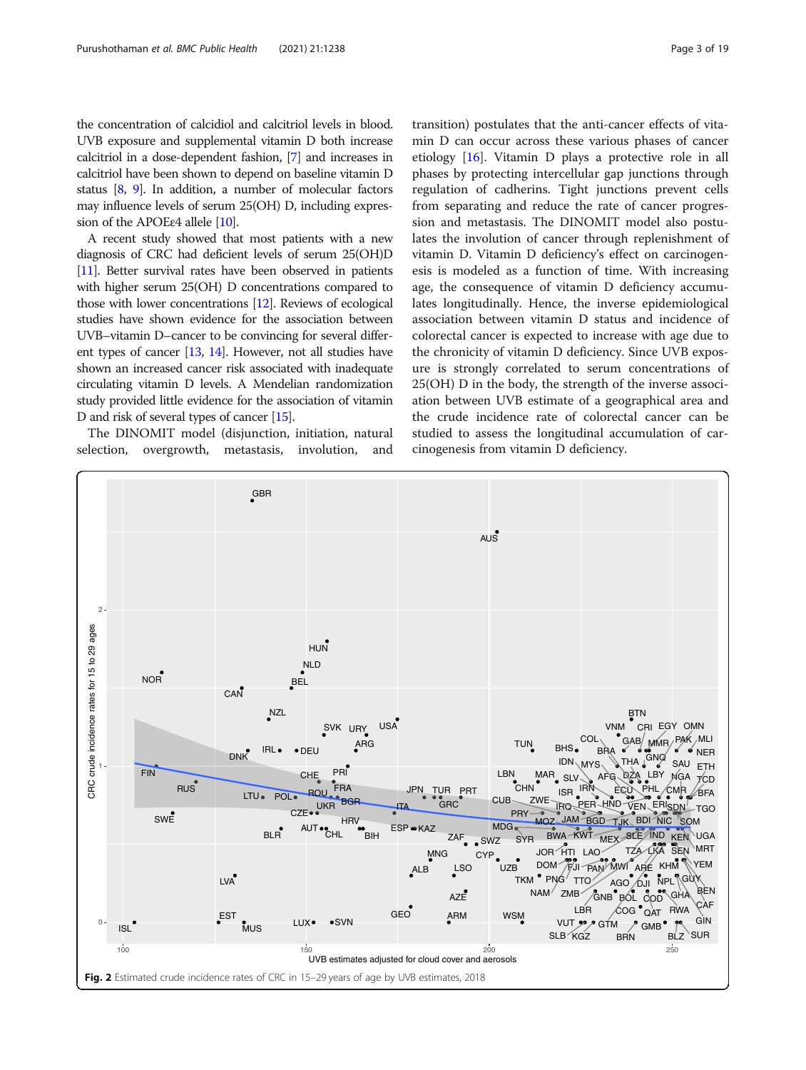<span id="page-2-0"></span>the concentration of calcidiol and calcitriol levels in blood. UVB exposure and supplemental vitamin D both increase calcitriol in a dose-dependent fashion, [\[7\]](#page-17-0) and increases in calcitriol have been shown to depend on baseline vitamin D status [[8,](#page-17-0) [9\]](#page-17-0). In addition, a number of molecular factors may influence levels of serum 25(OH) D, including expression of the APOEε4 allele [\[10\]](#page-17-0).

A recent study showed that most patients with a new diagnosis of CRC had deficient levels of serum 25(OH)D [[11](#page-17-0)]. Better survival rates have been observed in patients with higher serum 25(OH) D concentrations compared to those with lower concentrations [[12\]](#page-17-0). Reviews of ecological studies have shown evidence for the association between UVB–vitamin D–cancer to be convincing for several different types of cancer [\[13,](#page-17-0) [14\]](#page-17-0). However, not all studies have shown an increased cancer risk associated with inadequate circulating vitamin D levels. A Mendelian randomization study provided little evidence for the association of vitamin D and risk of several types of cancer [[15\]](#page-17-0).

The DINOMIT model (disjunction, initiation, natural selection, overgrowth, metastasis, involution, and

transition) postulates that the anti-cancer effects of vitamin D can occur across these various phases of cancer etiology [[16\]](#page-17-0). Vitamin D plays a protective role in all phases by protecting intercellular gap junctions through regulation of cadherins. Tight junctions prevent cells from separating and reduce the rate of cancer progression and metastasis. The DINOMIT model also postulates the involution of cancer through replenishment of vitamin D. Vitamin D deficiency's effect on carcinogenesis is modeled as a function of time. With increasing age, the consequence of vitamin D deficiency accumulates longitudinally. Hence, the inverse epidemiological association between vitamin D status and incidence of colorectal cancer is expected to increase with age due to

the chronicity of vitamin D deficiency. Since UVB exposure is strongly correlated to serum concentrations of 25(OH) D in the body, the strength of the inverse association between UVB estimate of a geographical area and the crude incidence rate of colorectal cancer can be studied to assess the longitudinal accumulation of carcinogenesis from vitamin D deficiency.

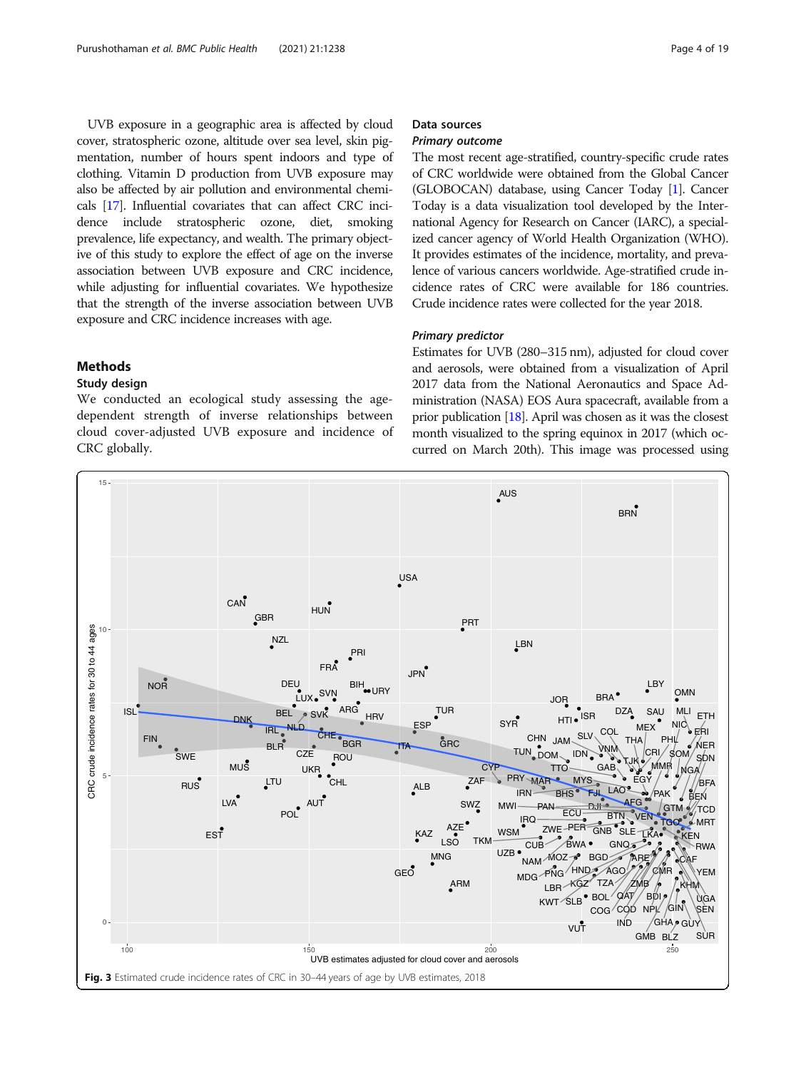<span id="page-3-0"></span>UVB exposure in a geographic area is affected by cloud cover, stratospheric ozone, altitude over sea level, skin pigmentation, number of hours spent indoors and type of clothing. Vitamin D production from UVB exposure may also be affected by air pollution and environmental chemicals [[17](#page-17-0)]. Influential covariates that can affect CRC incidence include stratospheric ozone, diet, smoking prevalence, life expectancy, and wealth. The primary objective of this study to explore the effect of age on the inverse association between UVB exposure and CRC incidence, while adjusting for influential covariates. We hypothesize that the strength of the inverse association between UVB exposure and CRC incidence increases with age.

#### Methods

### Study design

We conducted an ecological study assessing the agedependent strength of inverse relationships between cloud cover-adjusted UVB exposure and incidence of CRC globally.

# Data sources

#### Primary outcome

The most recent age-stratified, country-specific crude rates of CRC worldwide were obtained from the Global Cancer (GLOBOCAN) database, using Cancer Today [[1](#page-17-0)]. Cancer Today is a data visualization tool developed by the International Agency for Research on Cancer (IARC), a specialized cancer agency of World Health Organization (WHO). It provides estimates of the incidence, mortality, and prevalence of various cancers worldwide. Age-stratified crude incidence rates of CRC were available for 186 countries. Crude incidence rates were collected for the year 2018.

#### Primary predictor

Estimates for UVB (280–315 nm), adjusted for cloud cover and aerosols, were obtained from a visualization of April 2017 data from the National Aeronautics and Space Administration (NASA) EOS Aura spacecraft, available from a prior publication [\[18](#page-17-0)]. April was chosen as it was the closest month visualized to the spring equinox in 2017 (which occurred on March 20th). This image was processed using

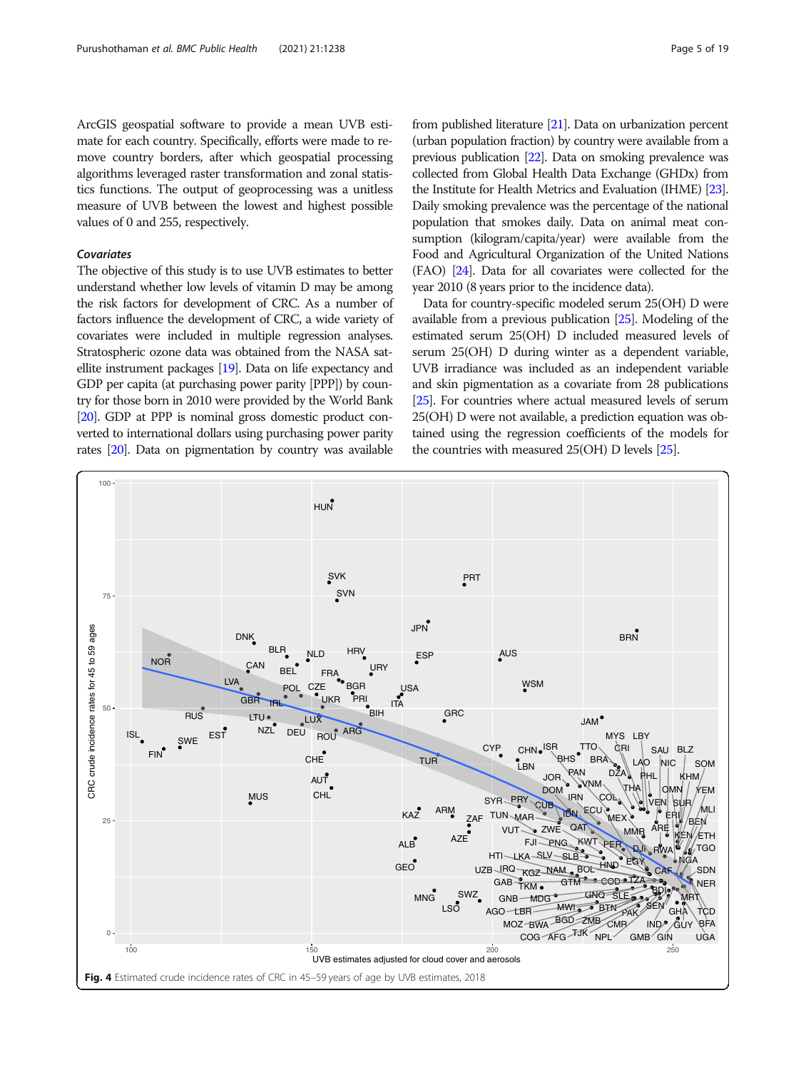<span id="page-4-0"></span>ArcGIS geospatial software to provide a mean UVB estimate for each country. Specifically, efforts were made to remove country borders, after which geospatial processing algorithms leveraged raster transformation and zonal statistics functions. The output of geoprocessing was a unitless measure of UVB between the lowest and highest possible values of 0 and 255, respectively.

#### Covariates

The objective of this study is to use UVB estimates to better understand whether low levels of vitamin D may be among the risk factors for development of CRC. As a number of factors influence the development of CRC, a wide variety of covariates were included in multiple regression analyses. Stratospheric ozone data was obtained from the NASA satellite instrument packages [\[19](#page-17-0)]. Data on life expectancy and GDP per capita (at purchasing power parity [PPP]) by country for those born in 2010 were provided by the World Bank [[20\]](#page-17-0). GDP at PPP is nominal gross domestic product converted to international dollars using purchasing power parity rates [\[20](#page-17-0)]. Data on pigmentation by country was available from published literature [\[21](#page-17-0)]. Data on urbanization percent (urban population fraction) by country were available from a previous publication [\[22\]](#page-17-0). Data on smoking prevalence was collected from Global Health Data Exchange (GHDx) from the Institute for Health Metrics and Evaluation (IHME) [\[23](#page-17-0)]. Daily smoking prevalence was the percentage of the national population that smokes daily. Data on animal meat consumption (kilogram/capita/year) were available from the Food and Agricultural Organization of the United Nations (FAO) [\[24](#page-17-0)]. Data for all covariates were collected for the year 2010 (8 years prior to the incidence data).

Data for country-specific modeled serum 25(OH) D were available from a previous publication [\[25](#page-17-0)]. Modeling of the estimated serum 25(OH) D included measured levels of serum 25(OH) D during winter as a dependent variable, UVB irradiance was included as an independent variable and skin pigmentation as a covariate from 28 publications [[25](#page-17-0)]. For countries where actual measured levels of serum 25(OH) D were not available, a prediction equation was obtained using the regression coefficients of the models for the countries with measured 25(OH) D levels [\[25](#page-17-0)].

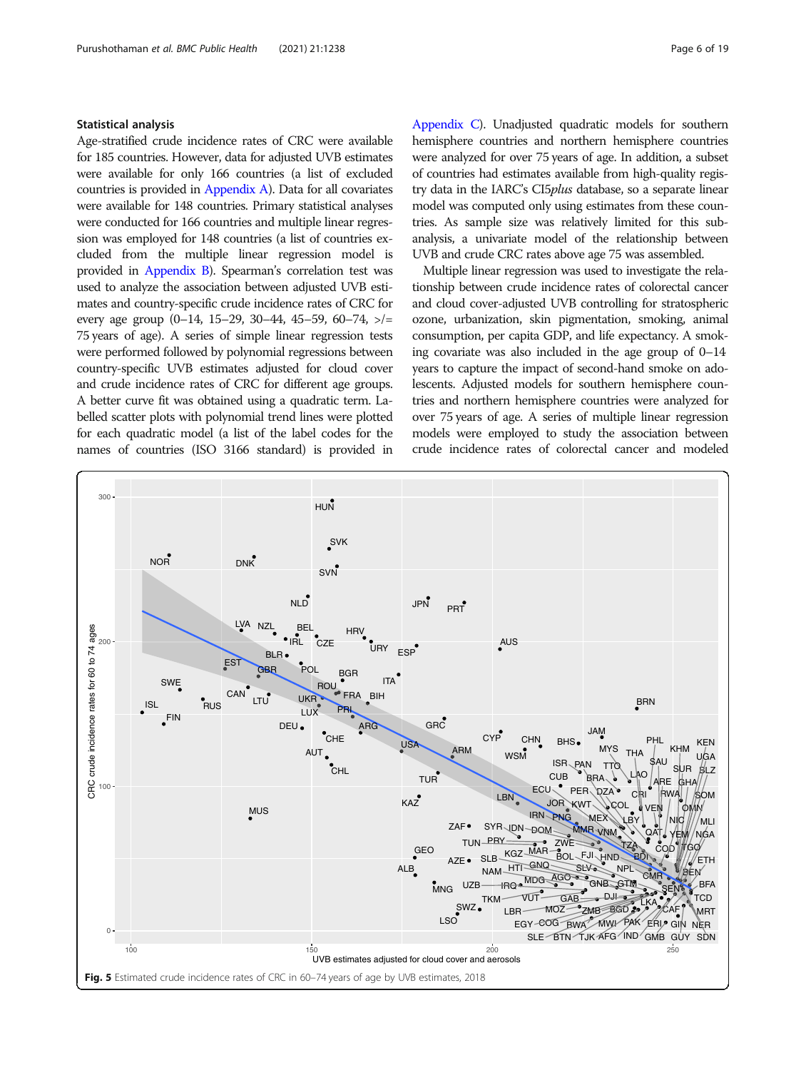#### <span id="page-5-0"></span>Statistical analysis

Age-stratified crude incidence rates of CRC were available for 185 countries. However, data for adjusted UVB estimates were available for only 166 countries (a list of excluded countries is provided in [Appendix A](#page-14-0)). Data for all covariates were available for 148 countries. Primary statistical analyses were conducted for 166 countries and multiple linear regression was employed for 148 countries (a list of countries excluded from the multiple linear regression model is provided in [Appendix B\)](#page-14-0). Spearman's correlation test was used to analyze the association between adjusted UVB estimates and country-specific crude incidence rates of CRC for every age group  $(0-14, 15-29, 30-44, 45-59, 60-74, >)=$ 75 years of age). A series of simple linear regression tests were performed followed by polynomial regressions between country-specific UVB estimates adjusted for cloud cover and crude incidence rates of CRC for different age groups. A better curve fit was obtained using a quadratic term. Labelled scatter plots with polynomial trend lines were plotted for each quadratic model (a list of the label codes for the names of countries (ISO 3166 standard) is provided in

[Appendix C](#page-15-0)). Unadjusted quadratic models for southern hemisphere countries and northern hemisphere countries were analyzed for over 75 years of age. In addition, a subset of countries had estimates available from high-quality registry data in the IARC's CI5plus database, so a separate linear model was computed only using estimates from these countries. As sample size was relatively limited for this subanalysis, a univariate model of the relationship between UVB and crude CRC rates above age 75 was assembled.

Multiple linear regression was used to investigate the relationship between crude incidence rates of colorectal cancer and cloud cover-adjusted UVB controlling for stratospheric ozone, urbanization, skin pigmentation, smoking, animal consumption, per capita GDP, and life expectancy. A smoking covariate was also included in the age group of 0–14 years to capture the impact of second-hand smoke on adolescents. Adjusted models for southern hemisphere countries and northern hemisphere countries were analyzed for over 75 years of age. A series of multiple linear regression models were employed to study the association between crude incidence rates of colorectal cancer and modeled

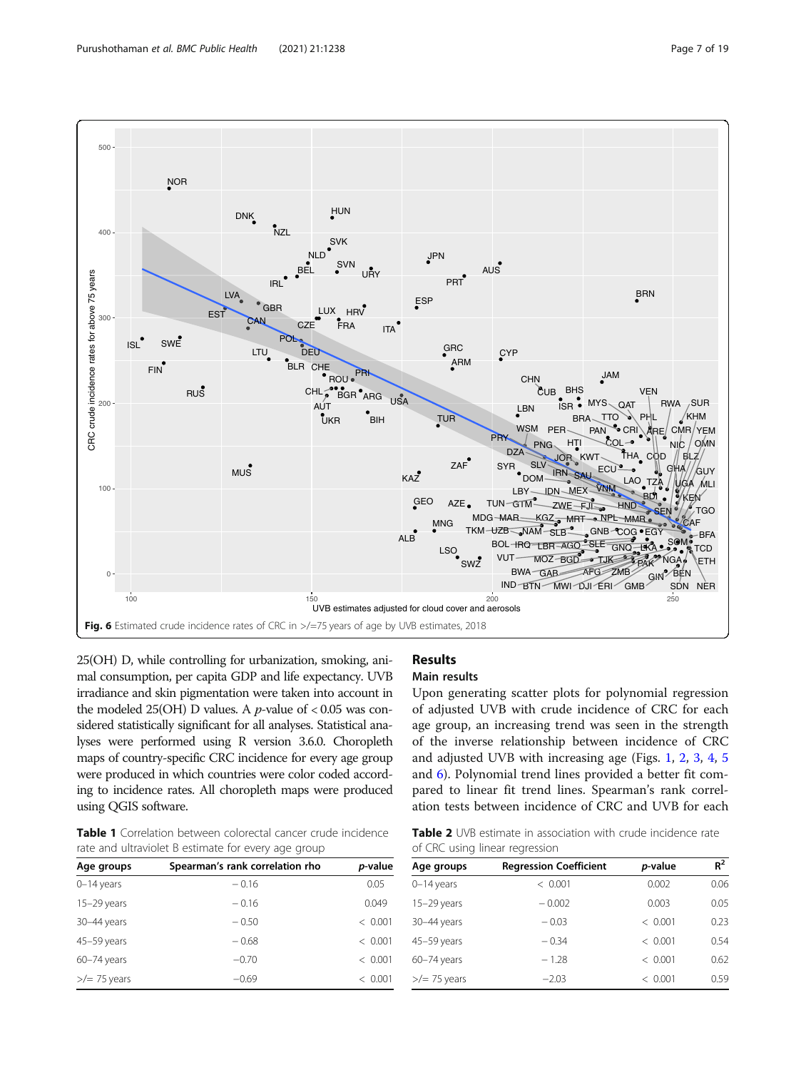<span id="page-6-0"></span>

25(OH) D, while controlling for urbanization, smoking, animal consumption, per capita GDP and life expectancy. UVB irradiance and skin pigmentation were taken into account in the modeled 25(OH) D values. A *p*-value of  $< 0.05$  was considered statistically significant for all analyses. Statistical analyses were performed using R version 3.6.0. Choropleth maps of country-specific CRC incidence for every age group were produced in which countries were color coded according to incidence rates. All choropleth maps were produced using QGIS software.

Table 1 Correlation between colorectal cancer crude incidence rate and ultraviolet B estimate for every age group

| Age groups             | Spearman's rank correlation rho | p-value |
|------------------------|---------------------------------|---------|
| $0-14$ years           | $-0.16$                         | 0.05    |
| $15-29$ years          | $-0.16$                         | 0.049   |
| 30-44 years            | $-0.50$                         | < 0.001 |
| 45-59 years            | $-0.68$                         | < 0.001 |
| $60 - 74$ years        | $-0.70$                         | < 0.001 |
| $\frac{2}{2}$ 75 years | $-0.69$                         | < 0.001 |
|                        |                                 |         |

# Results

#### Main results

Upon generating scatter plots for polynomial regression of adjusted UVB with crude incidence of CRC for each age group, an increasing trend was seen in the strength of the inverse relationship between incidence of CRC and adjusted UVB with increasing age (Figs. [1,](#page-1-0) [2](#page-2-0), [3,](#page-3-0) [4](#page-4-0), [5](#page-5-0) and 6). Polynomial trend lines provided a better fit compared to linear fit trend lines. Spearman's rank correlation tests between incidence of CRC and UVB for each

Table 2 UVB estimate in association with crude incidence rate of CRC using linear regression

| Age groups             | <b>Regression Coefficient</b> | p-value | $R^2$ |
|------------------------|-------------------------------|---------|-------|
| $0-14$ years           | < 0.001                       | 0.002   | 0.06  |
| $15-29$ years          | $-0.002$                      | 0.003   | 0.05  |
| 30-44 years            | $-0.03$                       | < 0.001 | 0.23  |
| 45-59 years            | $-0.34$                       | < 0.001 | 0.54  |
| $60 - 74$ years        | $-1.28$                       | < 0.001 | 0.62  |
| $\frac{1}{2}$ 75 years | $-2.03$                       | < 0.001 | 0.59  |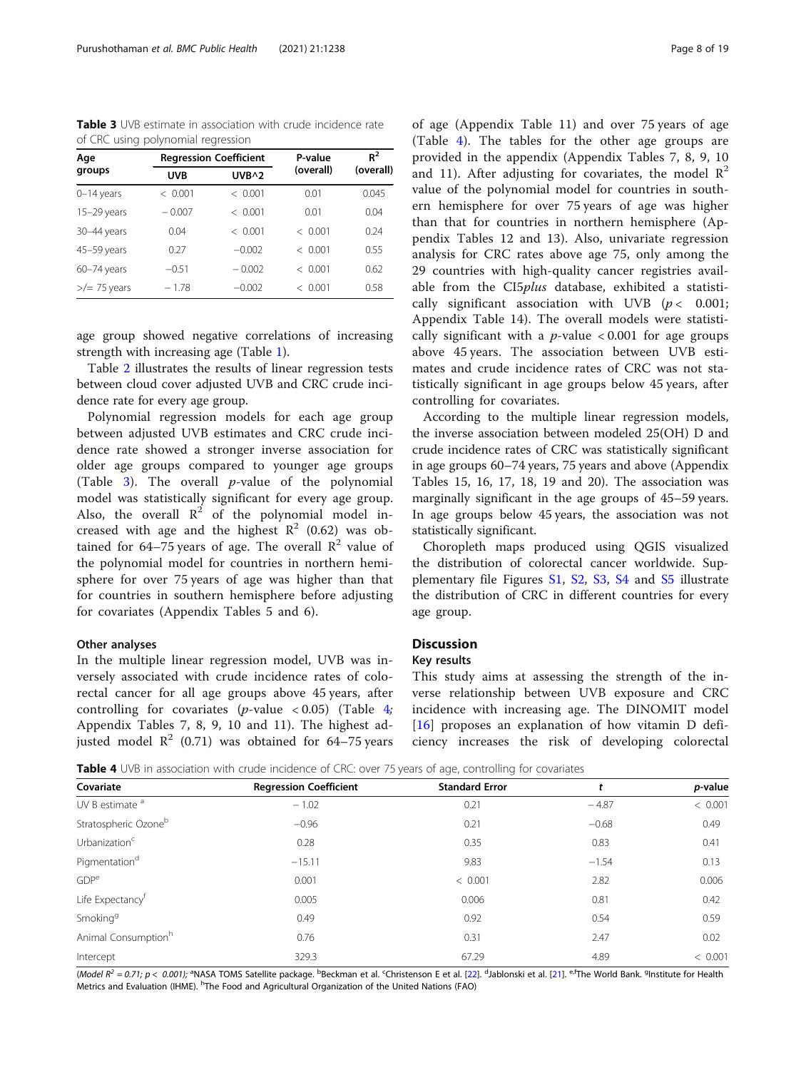Table 3 UVB estimate in association with crude incidence rate of CRC using polynomial regression

| Age                    |            | <b>Regression Coefficient</b> | P-value   | $R^2$     |  |
|------------------------|------------|-------------------------------|-----------|-----------|--|
| groups                 | <b>UVB</b> | UVB^2                         | (overall) | (overall) |  |
| $0-14$ years           | < 0.001    | < 0.001                       | 0.01      | 0.045     |  |
| $15-29$ years          | $-0.007$   | < 0.001                       | 0.01      | 0.04      |  |
| 30-44 years            | 0.04       | < 0.001                       | < 0.001   | 0.24      |  |
| 45-59 years            | 0.27       | $-0.002$                      | < 0.001   | 0.55      |  |
| $60 - 74$ years        | $-0.51$    | $-0.002$                      | < 0.001   | 0.62      |  |
| $\frac{1}{2}$ 75 years | $-1.78$    | $-0.002$                      | < 0.001   | 0.58      |  |

age group showed negative correlations of increasing strength with increasing age (Table [1\)](#page-6-0).

Table [2](#page-6-0) illustrates the results of linear regression tests between cloud cover adjusted UVB and CRC crude incidence rate for every age group.

Polynomial regression models for each age group between adjusted UVB estimates and CRC crude incidence rate showed a stronger inverse association for older age groups compared to younger age groups (Table 3). The overall  $p$ -value of the polynomial model was statistically significant for every age group. Also, the overall  $\mathbb{R}^2$  of the polynomial model increased with age and the highest  $R^2$  (0.62) was obtained for 64–75 years of age. The overall  $\mathbb{R}^2$  value of the polynomial model for countries in northern hemisphere for over 75 years of age was higher than that for countries in southern hemisphere before adjusting for covariates (Appendix Tables 5 and 6).

#### Other analyses

In the multiple linear regression model, UVB was inversely associated with crude incidence rates of colorectal cancer for all age groups above 45 years, after controlling for covariates (*p*-value < 0.05) (Table  $4$ ; Appendix Tables 7, 8, 9, 10 and 11). The highest adjusted model  $\mathbb{R}^2$  (0.71) was obtained for 64–75 years of age (Appendix Table 11) and over 75 years of age (Table 4). The tables for the other age groups are provided in the appendix (Appendix Tables 7, 8, 9, 10 and 11). After adjusting for covariates, the model  $\mathbb{R}^2$ value of the polynomial model for countries in southern hemisphere for over 75 years of age was higher than that for countries in northern hemisphere (Appendix Tables 12 and 13). Also, univariate regression analysis for CRC rates above age 75, only among the 29 countries with high-quality cancer registries available from the CI5plus database, exhibited a statistically significant association with UVB  $(p < 0.001;$ Appendix Table 14). The overall models were statistically significant with a  $p$ -value < 0.001 for age groups above 45 years. The association between UVB estimates and crude incidence rates of CRC was not statistically significant in age groups below 45 years, after controlling for covariates.

According to the multiple linear regression models, the inverse association between modeled 25(OH) D and crude incidence rates of CRC was statistically significant in age groups 60–74 years, 75 years and above (Appendix Tables 15, 16, 17, 18, 19 and 20). The association was marginally significant in the age groups of 45–59 years. In age groups below 45 years, the association was not statistically significant.

Choropleth maps produced using QGIS visualized the distribution of colorectal cancer worldwide. Supplementary file Figures [S1,](#page-16-0) [S2](#page-16-0), [S3](#page-16-0), [S4](#page-16-0) and [S5](#page-16-0) illustrate the distribution of CRC in different countries for every age group.

#### **Discussion**

#### Key results

This study aims at assessing the strength of the inverse relationship between UVB exposure and CRC incidence with increasing age. The DINOMIT model [[16\]](#page-17-0) proposes an explanation of how vitamin D deficiency increases the risk of developing colorectal

**Table 4** UVB in association with crude incidence of CRC: over 75 years of age, controlling for covariates

| Covariate                        | <b>Regression Coefficient</b> | <b>Standard Error</b> |         | p-value |
|----------------------------------|-------------------------------|-----------------------|---------|---------|
| UV B estimate <sup>a</sup>       | $-1.02$                       | 0.21                  | $-4.87$ | < 0.001 |
| Stratospheric Ozone <sup>b</sup> | $-0.96$                       | 0.21                  | $-0.68$ | 0.49    |
| Urbanization <sup>c</sup>        | 0.28                          | 0.35                  | 0.83    | 0.41    |
| Pigmentation <sup>d</sup>        | $-15.11$                      | 9.83                  | $-1.54$ | 0.13    |
| GDP <sup>e</sup>                 | 0.001                         | < 0.001               | 2.82    | 0.006   |
| Life Expectancy <sup>†</sup>     | 0.005                         | 0.006                 | 0.81    | 0.42    |
| Smoking <sup>9</sup>             | 0.49                          | 0.92                  | 0.54    | 0.59    |
| Animal Consumption <sup>h</sup>  | 0.76                          | 0.31                  | 2.47    | 0.02    |
| Intercept                        | 329.3                         | 67.29                 | 4.89    | < 0.001 |

(Model R<sup>2</sup> = 0.71; p < 0.001); <sup>a</sup>NASA TOMS Satellite package. <sup>b</sup>Beckman et al. <sup>c</sup>Christenson E et al. [[22\]](#page-17-0). <sup>d</sup>Jablonski et al. [\[21](#page-17-0)]. <sup>e,f</sup>The World Bank. <sup>9</sup>Institute for Health Metrics and Evaluation (IHME). <sup>h</sup>The Food and Agricultural Organization of the United Nations (FAO)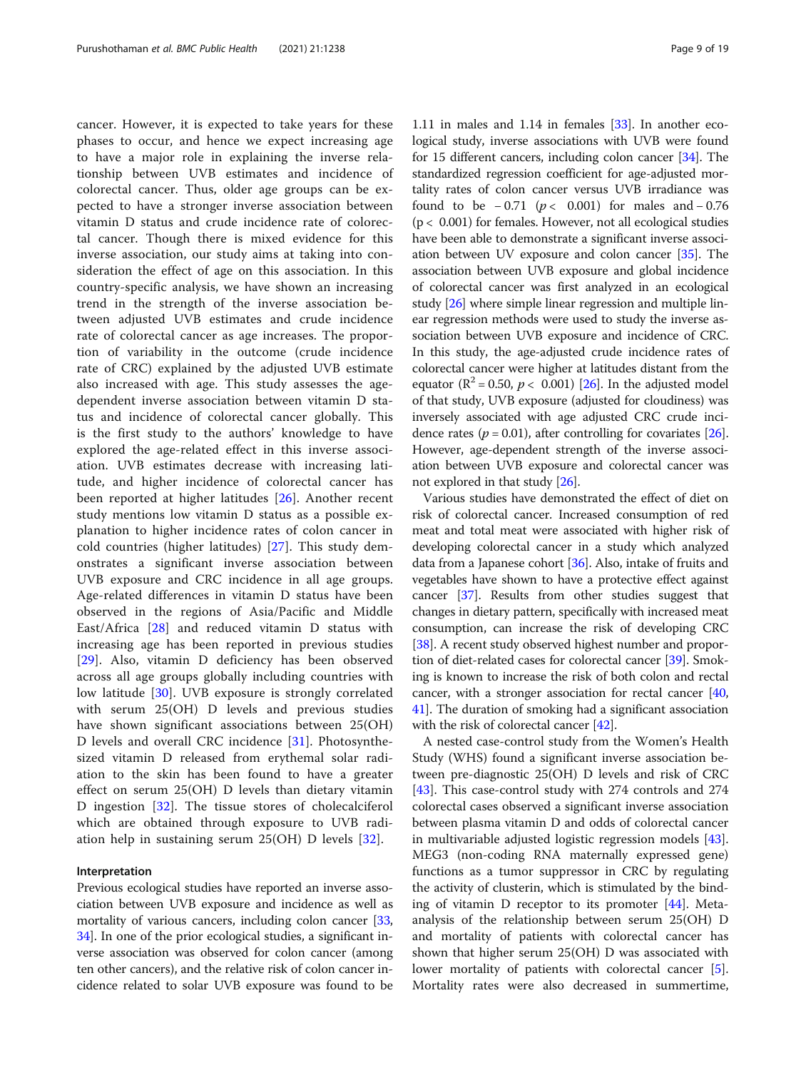cancer. However, it is expected to take years for these phases to occur, and hence we expect increasing age to have a major role in explaining the inverse relationship between UVB estimates and incidence of colorectal cancer. Thus, older age groups can be expected to have a stronger inverse association between vitamin D status and crude incidence rate of colorectal cancer. Though there is mixed evidence for this inverse association, our study aims at taking into consideration the effect of age on this association. In this country-specific analysis, we have shown an increasing trend in the strength of the inverse association between adjusted UVB estimates and crude incidence rate of colorectal cancer as age increases. The proportion of variability in the outcome (crude incidence rate of CRC) explained by the adjusted UVB estimate also increased with age. This study assesses the agedependent inverse association between vitamin D status and incidence of colorectal cancer globally. This is the first study to the authors' knowledge to have explored the age-related effect in this inverse association. UVB estimates decrease with increasing latitude, and higher incidence of colorectal cancer has been reported at higher latitudes [[26](#page-17-0)]. Another recent study mentions low vitamin D status as a possible explanation to higher incidence rates of colon cancer in cold countries (higher latitudes) [[27\]](#page-18-0). This study demonstrates a significant inverse association between UVB exposure and CRC incidence in all age groups. Age-related differences in vitamin D status have been observed in the regions of Asia/Pacific and Middle East/Africa [\[28](#page-18-0)] and reduced vitamin D status with increasing age has been reported in previous studies [[29\]](#page-18-0). Also, vitamin D deficiency has been observed across all age groups globally including countries with low latitude [[30\]](#page-18-0). UVB exposure is strongly correlated with serum 25(OH) D levels and previous studies have shown significant associations between 25(OH) D levels and overall CRC incidence [[31\]](#page-18-0). Photosynthesized vitamin D released from erythemal solar radiation to the skin has been found to have a greater effect on serum 25(OH) D levels than dietary vitamin D ingestion [[32\]](#page-18-0). The tissue stores of cholecalciferol which are obtained through exposure to UVB radiation help in sustaining serum 25(OH) D levels [\[32](#page-18-0)].

#### Interpretation

Previous ecological studies have reported an inverse association between UVB exposure and incidence as well as mortality of various cancers, including colon cancer [[33](#page-18-0), [34](#page-18-0)]. In one of the prior ecological studies, a significant inverse association was observed for colon cancer (among ten other cancers), and the relative risk of colon cancer incidence related to solar UVB exposure was found to be

1.11 in males and 1.14 in females [\[33\]](#page-18-0). In another ecological study, inverse associations with UVB were found for 15 different cancers, including colon cancer [\[34\]](#page-18-0). The standardized regression coefficient for age-adjusted mortality rates of colon cancer versus UVB irradiance was found to be  $-0.71$  ( $p < 0.001$ ) for males and  $-0.76$  $(p < 0.001)$  for females. However, not all ecological studies have been able to demonstrate a significant inverse association between UV exposure and colon cancer [\[35](#page-18-0)]. The association between UVB exposure and global incidence of colorectal cancer was first analyzed in an ecological study [[26\]](#page-17-0) where simple linear regression and multiple linear regression methods were used to study the inverse association between UVB exposure and incidence of CRC. In this study, the age-adjusted crude incidence rates of colorectal cancer were higher at latitudes distant from the equator ( $\mathbb{R}^2$  = 0.50,  $p < 0.001$ ) [\[26\]](#page-17-0). In the adjusted model of that study, UVB exposure (adjusted for cloudiness) was inversely associated with age adjusted CRC crude incidence rates ( $p = 0.01$ ), after controlling for covariates [[26](#page-17-0)]. However, age-dependent strength of the inverse association between UVB exposure and colorectal cancer was not explored in that study [\[26\]](#page-17-0).

Various studies have demonstrated the effect of diet on risk of colorectal cancer. Increased consumption of red meat and total meat were associated with higher risk of developing colorectal cancer in a study which analyzed data from a Japanese cohort [\[36](#page-18-0)]. Also, intake of fruits and vegetables have shown to have a protective effect against cancer [[37](#page-18-0)]. Results from other studies suggest that changes in dietary pattern, specifically with increased meat consumption, can increase the risk of developing CRC [[38](#page-18-0)]. A recent study observed highest number and proportion of diet-related cases for colorectal cancer [\[39](#page-18-0)]. Smoking is known to increase the risk of both colon and rectal cancer, with a stronger association for rectal cancer [[40](#page-18-0), [41](#page-18-0)]. The duration of smoking had a significant association with the risk of colorectal cancer [\[42\]](#page-18-0).

A nested case-control study from the Women's Health Study (WHS) found a significant inverse association between pre-diagnostic 25(OH) D levels and risk of CRC [[43\]](#page-18-0). This case-control study with 274 controls and 274 colorectal cases observed a significant inverse association between plasma vitamin D and odds of colorectal cancer in multivariable adjusted logistic regression models [\[43](#page-18-0)]. MEG3 (non-coding RNA maternally expressed gene) functions as a tumor suppressor in CRC by regulating the activity of clusterin, which is stimulated by the binding of vitamin D receptor to its promoter [\[44\]](#page-18-0). Metaanalysis of the relationship between serum 25(OH) D and mortality of patients with colorectal cancer has shown that higher serum 25(OH) D was associated with lower mortality of patients with colorectal cancer [\[5](#page-17-0)]. Mortality rates were also decreased in summertime,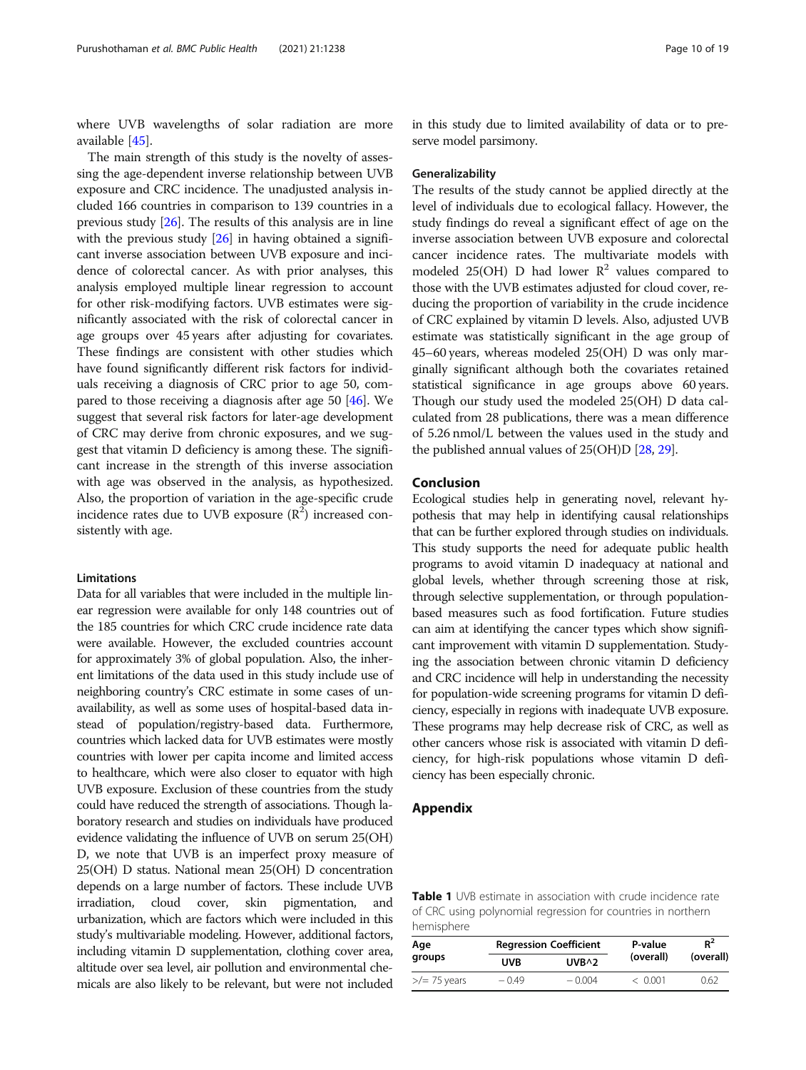where UVB wavelengths of solar radiation are more available [[45](#page-18-0)].

The main strength of this study is the novelty of assessing the age-dependent inverse relationship between UVB exposure and CRC incidence. The unadjusted analysis included 166 countries in comparison to 139 countries in a previous study [\[26\]](#page-17-0). The results of this analysis are in line with the previous study  $[26]$  $[26]$  in having obtained a significant inverse association between UVB exposure and incidence of colorectal cancer. As with prior analyses, this analysis employed multiple linear regression to account for other risk-modifying factors. UVB estimates were significantly associated with the risk of colorectal cancer in age groups over 45 years after adjusting for covariates. These findings are consistent with other studies which have found significantly different risk factors for individuals receiving a diagnosis of CRC prior to age 50, compared to those receiving a diagnosis after age 50 [\[46\]](#page-18-0). We suggest that several risk factors for later-age development of CRC may derive from chronic exposures, and we suggest that vitamin D deficiency is among these. The significant increase in the strength of this inverse association with age was observed in the analysis, as hypothesized. Also, the proportion of variation in the age-specific crude incidence rates due to UVB exposure  $(\mathbb{R}^2)$  increased consistently with age.

#### Limitations

Data for all variables that were included in the multiple linear regression were available for only 148 countries out of the 185 countries for which CRC crude incidence rate data were available. However, the excluded countries account for approximately 3% of global population. Also, the inherent limitations of the data used in this study include use of neighboring country's CRC estimate in some cases of unavailability, as well as some uses of hospital-based data instead of population/registry-based data. Furthermore, countries which lacked data for UVB estimates were mostly countries with lower per capita income and limited access to healthcare, which were also closer to equator with high UVB exposure. Exclusion of these countries from the study could have reduced the strength of associations. Though laboratory research and studies on individuals have produced evidence validating the influence of UVB on serum 25(OH) D, we note that UVB is an imperfect proxy measure of 25(OH) D status. National mean 25(OH) D concentration depends on a large number of factors. These include UVB irradiation, cloud cover, skin pigmentation, and urbanization, which are factors which were included in this study's multivariable modeling. However, additional factors, including vitamin D supplementation, clothing cover area, altitude over sea level, air pollution and environmental chemicals are also likely to be relevant, but were not included in this study due to limited availability of data or to preserve model parsimony.

#### Generalizability

The results of the study cannot be applied directly at the level of individuals due to ecological fallacy. However, the study findings do reveal a significant effect of age on the inverse association between UVB exposure and colorectal cancer incidence rates. The multivariate models with modeled 25(OH) D had lower  $\mathbb{R}^2$  values compared to those with the UVB estimates adjusted for cloud cover, reducing the proportion of variability in the crude incidence of CRC explained by vitamin D levels. Also, adjusted UVB estimate was statistically significant in the age group of 45–60 years, whereas modeled 25(OH) D was only marginally significant although both the covariates retained statistical significance in age groups above 60 years. Though our study used the modeled 25(OH) D data calculated from 28 publications, there was a mean difference of 5.26 nmol/L between the values used in the study and the published annual values of 25(OH)D [\[28,](#page-18-0) [29](#page-18-0)].

#### Conclusion

Ecological studies help in generating novel, relevant hypothesis that may help in identifying causal relationships that can be further explored through studies on individuals. This study supports the need for adequate public health programs to avoid vitamin D inadequacy at national and global levels, whether through screening those at risk, through selective supplementation, or through populationbased measures such as food fortification. Future studies can aim at identifying the cancer types which show significant improvement with vitamin D supplementation. Studying the association between chronic vitamin D deficiency and CRC incidence will help in understanding the necessity for population-wide screening programs for vitamin D deficiency, especially in regions with inadequate UVB exposure. These programs may help decrease risk of CRC, as well as other cancers whose risk is associated with vitamin D deficiency, for high-risk populations whose vitamin D deficiency has been especially chronic.

#### Appendix

Table 1 UVB estimate in association with crude incidence rate of CRC using polynomial regression for countries in northern hemisphere

| Age<br>groups          |         | <b>Regression Coefficient</b> | P-value   | $R^2$     |
|------------------------|---------|-------------------------------|-----------|-----------|
|                        | UVB     | $UVB^2$                       | (overall) | (overall) |
| $\frac{1}{2}$ 75 years | $-0.49$ | $-0.004$                      | < 0.001   | 0.62      |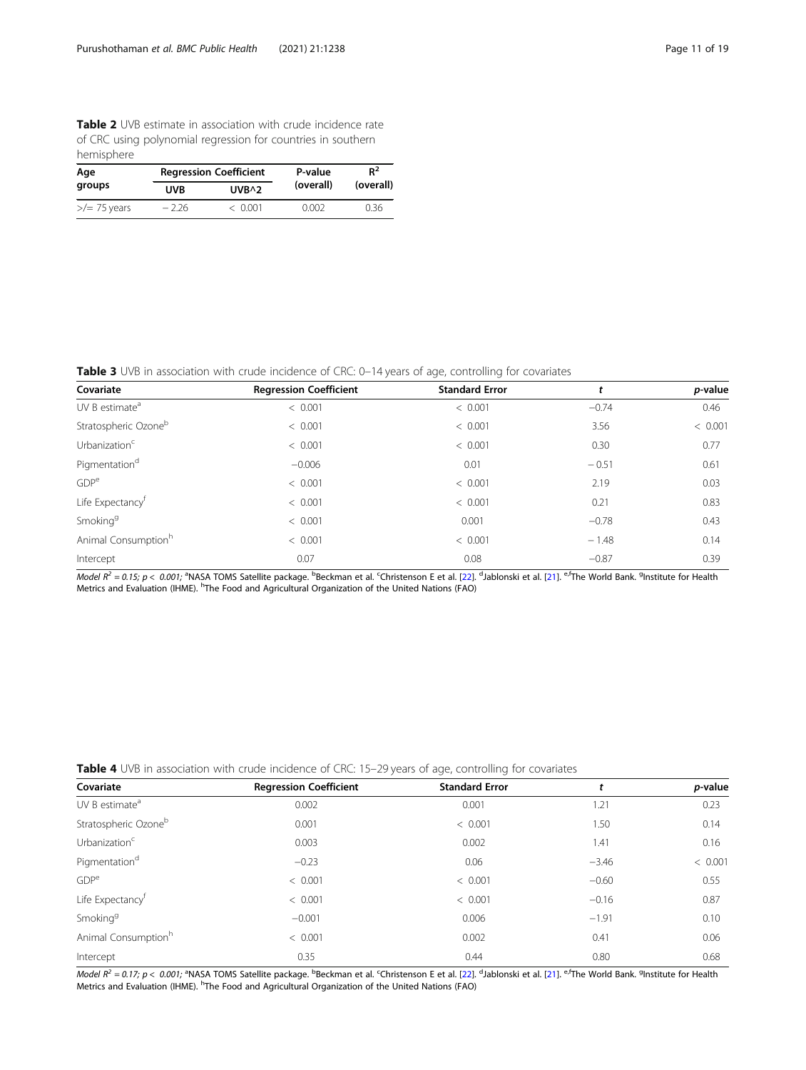Table 2 UVB estimate in association with crude incidence rate of CRC using polynomial regression for countries in southern hemisphere

| Age<br>groups        |            | <b>Regression Coefficient</b> | P-value   | $R^2$<br>(overall) |  |
|----------------------|------------|-------------------------------|-----------|--------------------|--|
|                      | <b>UVB</b> | $UVB^2$                       | (overall) |                    |  |
| $\ge$ / $=$ 75 years | $-2.26$    | < 0.001                       | 0.002     | 0.36               |  |

Table 3 UVB in association with crude incidence of CRC: 0-14 years of age, controlling for covariates

| Covariate                        | <b>Regression Coefficient</b> | <b>Standard Error</b> |         | p-value |
|----------------------------------|-------------------------------|-----------------------|---------|---------|
| UV B estimate <sup>a</sup>       | < 0.001                       | < 0.001               | $-0.74$ | 0.46    |
| Stratospheric Ozone <sup>b</sup> | < 0.001                       | < 0.001               | 3.56    | < 0.001 |
| Urbanization <sup>c</sup>        | < 0.001                       | < 0.001               | 0.30    | 0.77    |
| Pigmentation <sup>d</sup>        | $-0.006$                      | 0.01                  | $-0.51$ | 0.61    |
| GDP <sup>e</sup>                 | < 0.001                       | < 0.001               | 2.19    | 0.03    |
| Life Expectancy <sup>†</sup>     | < 0.001                       | < 0.001               | 0.21    | 0.83    |
| Smoking <sup>9</sup>             | < 0.001                       | 0.001                 | $-0.78$ | 0.43    |
| Animal Consumption <sup>h</sup>  | < 0.001                       | < 0.001               | $-1.48$ | 0.14    |
| Intercept                        | 0.07                          | 0.08                  | $-0.87$ | 0.39    |

Model R<sup>2</sup> = 0.15; p < 0.001; <sup>a</sup>NASA TOMS Satellite package. <sup>b</sup>Beckman et al. <sup>c</sup>Christenson E et al. [[22\]](#page-17-0). <sup>d</sup>Jablonski et al. [\[21\]](#page-17-0). <sup>e,f</sup>The World Bank. <sup>9</sup>Institute for Health Metrics and Evaluation (IHME). <sup>h</sup>The Food and Agricultural Organization of the United Nations (FAO)

|  | Table 4 UVB in association with crude incidence of CRC: 15-29 years of age, controlling for covariates |  |  |  |  |  |  |
|--|--------------------------------------------------------------------------------------------------------|--|--|--|--|--|--|

| Covariate                       | <b>Regression Coefficient</b> | <b>Standard Error</b> |         | p-value |
|---------------------------------|-------------------------------|-----------------------|---------|---------|
| UV B estimate <sup>a</sup>      | 0.002                         | 0.001                 | 1.21    | 0.23    |
| Stratospheric Ozoneb            | 0.001                         | < 0.001               | 1.50    | 0.14    |
| Urbanization <sup>c</sup>       | 0.003                         | 0.002                 | 1.41    | 0.16    |
| Pigmentation <sup>d</sup>       | $-0.23$                       | 0.06                  | $-3.46$ | < 0.001 |
| GDP <sup>e</sup>                | < 0.001                       | < 0.001               | $-0.60$ | 0.55    |
| Life Expectancy <sup>†</sup>    | < 0.001                       | < 0.001               | $-0.16$ | 0.87    |
| Smoking <sup>g</sup>            | $-0.001$                      | 0.006                 | $-1.91$ | 0.10    |
| Animal Consumption <sup>h</sup> | < 0.001                       | 0.002                 | 0.41    | 0.06    |
| Intercept                       | 0.35                          | 0.44                  | 0.80    | 0.68    |

Model  $R^2 =$  0.17; p < 0.001; <sup>a</sup>NASA TOMS Satellite package. <sup>b</sup>Beckman et al. <sup>c</sup>Christenson E et al. [[22\]](#page-17-0). <sup>d</sup>Jablonski et al. [\[21\]](#page-17-0). <sup>e,f</sup>The World Bank. <sup>9</sup>Institute for Health Metrics and Evaluation (IHME). <sup>h</sup>The Food and Agricultural Organization of the United Nations (FAO)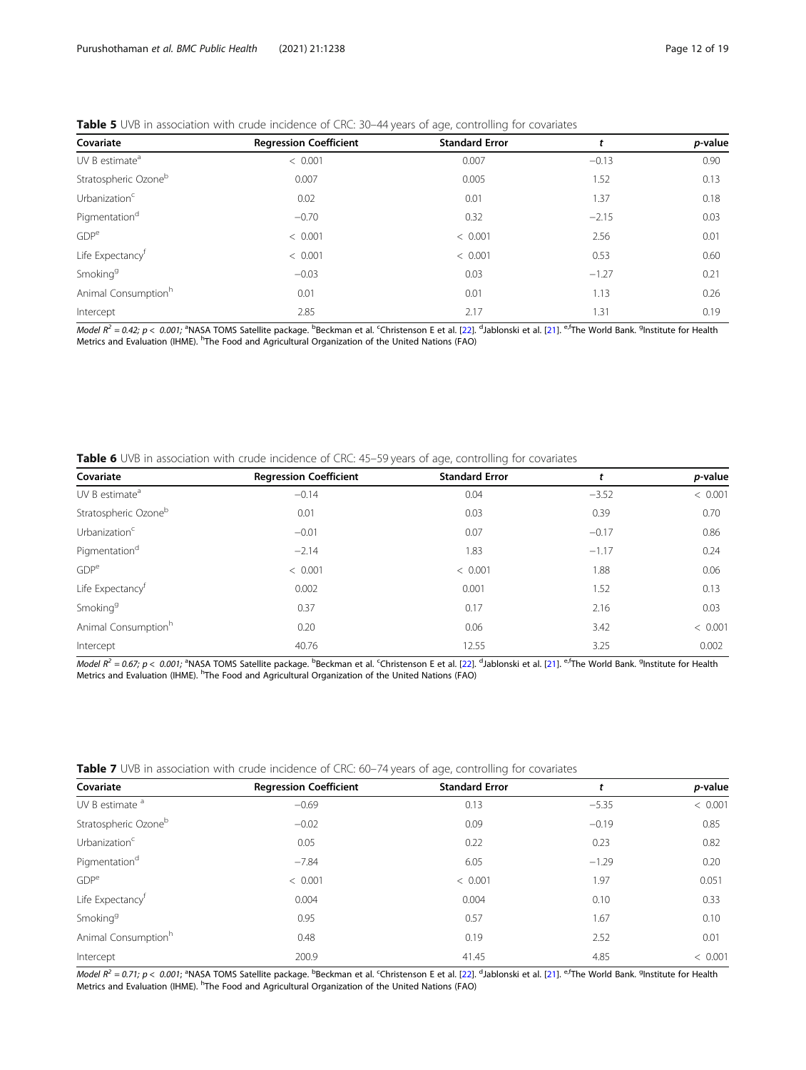#### Table 5 UVB in association with crude incidence of CRC: 30-44 years of age, controlling for covariates

| <b>Regression Coefficient</b> | <b>Standard Error</b> |         | p-value |
|-------------------------------|-----------------------|---------|---------|
| < 0.001                       | 0.007                 | $-0.13$ | 0.90    |
| 0.007                         | 0.005                 | 1.52    | 0.13    |
| 0.02                          | 0.01                  | 1.37    | 0.18    |
| $-0.70$                       | 0.32                  | $-2.15$ | 0.03    |
| < 0.001                       | < 0.001               | 2.56    | 0.01    |
| < 0.001                       | < 0.001               | 0.53    | 0.60    |
| $-0.03$                       | 0.03                  | $-1.27$ | 0.21    |
| 0.01                          | 0.01                  | 1.13    | 0.26    |
| 2.85                          | 2.17                  | 1.31    | 0.19    |
|                               |                       |         |         |

Model R<sup>2</sup> = 0.42; p < 0.001; <sup>a</sup>NASA TOMS Satellite package. <sup>b</sup>Beckman et al. <sup>c</sup>Christenson E et al. [[22\]](#page-17-0). <sup>d</sup>Jablonski et al. [\[21\]](#page-17-0). <sup>e,f</sup>The World Bank. <sup>9</sup>Institute for Health Metrics and Evaluation (IHME). <sup>h</sup>The Food and Agricultural Organization of the United Nations (FAO)

Table 6 UVB in association with crude incidence of CRC: 45-59 years of age, controlling for covariates

| Covariate                        | <b>Regression Coefficient</b> | <b>Standard Error</b> |         | <i>p</i> -value |
|----------------------------------|-------------------------------|-----------------------|---------|-----------------|
| UV B estimate <sup>a</sup>       | $-0.14$                       | 0.04                  | $-3.52$ | < 0.001         |
| Stratospheric Ozone <sup>b</sup> | 0.01                          | 0.03                  | 0.39    | 0.70            |
| Urbanization <sup>c</sup>        | $-0.01$                       | 0.07                  | $-0.17$ | 0.86            |
| Pigmentation <sup>d</sup>        | $-2.14$                       | 1.83                  | $-1.17$ | 0.24            |
| GDP <sup>e</sup>                 | < 0.001                       | < 0.001               | 1.88    | 0.06            |
| Life Expectancy <sup>†</sup>     | 0.002                         | 0.001                 | 1.52    | 0.13            |
| Smoking <sup>9</sup>             | 0.37                          | 0.17                  | 2.16    | 0.03            |
| Animal Consumption <sup>h</sup>  | 0.20                          | 0.06                  | 3.42    | < 0.001         |
| Intercept                        | 40.76                         | 12.55                 | 3.25    | 0.002           |

*Model R<sup>2</sup> = 0.67; p < 0.001;* <sup>a</sup>NASA TOMS Satellite package. <sup>b</sup>Beckman et al. <sup>c</sup>Christenson E et al. [[22\]](#page-17-0). <sup>d</sup>Jablonski et al. [\[21\]](#page-17-0). <sup>e,f</sup>The World Bank. <sup>g</sup>Institute for Health<br>Metrics and Evaluation (IHME). <sup>h</sup>The F

|  |  |  | Table 7 UVB in association with crude incidence of CRC: 60-74 years of age, controlling for covariates |  |  |  |
|--|--|--|--------------------------------------------------------------------------------------------------------|--|--|--|
|  |  |  |                                                                                                        |  |  |  |

| Covariate                        | <b>Regression Coefficient</b> | <b>Standard Error</b> |         | p-value |
|----------------------------------|-------------------------------|-----------------------|---------|---------|
| UV B estimate <sup>a</sup>       | $-0.69$                       | 0.13                  | $-5.35$ | < 0.001 |
| Stratospheric Ozone <sup>b</sup> | $-0.02$                       | 0.09                  | $-0.19$ | 0.85    |
| Urbanization <sup>c</sup>        | 0.05                          | 0.22                  | 0.23    | 0.82    |
| Pigmentation <sup>d</sup>        | $-7.84$                       | 6.05                  | $-1.29$ | 0.20    |
| GDP <sup>e</sup>                 | < 0.001                       | < 0.001               | 1.97    | 0.051   |
| Life Expectancy <sup>†</sup>     | 0.004                         | 0.004                 | 0.10    | 0.33    |
| Smoking <sup>g</sup>             | 0.95                          | 0.57                  | 1.67    | 0.10    |
| Animal Consumption <sup>h</sup>  | 0.48                          | 0.19                  | 2.52    | 0.01    |
| Intercept                        | 200.9                         | 41.45                 | 4.85    | < 0.001 |

*Model R<sup>2</sup> = 0.71; p < 0.001;* <sup>a</sup>NASA TOMS Satellite package. <sup>b</sup>Beckman et al. <sup>c</sup>Christenson E et al. [[22\]](#page-17-0). <sup>d</sup>Jablonski et al. [\[21](#page-17-0)]. <sup>e,f</sup>The World Bank. <sup>9</sup>Institute for Health Metrics and Evaluation (IHME). <sup>h</sup>The Food and Agricultural Organization of the United Nations (FAO)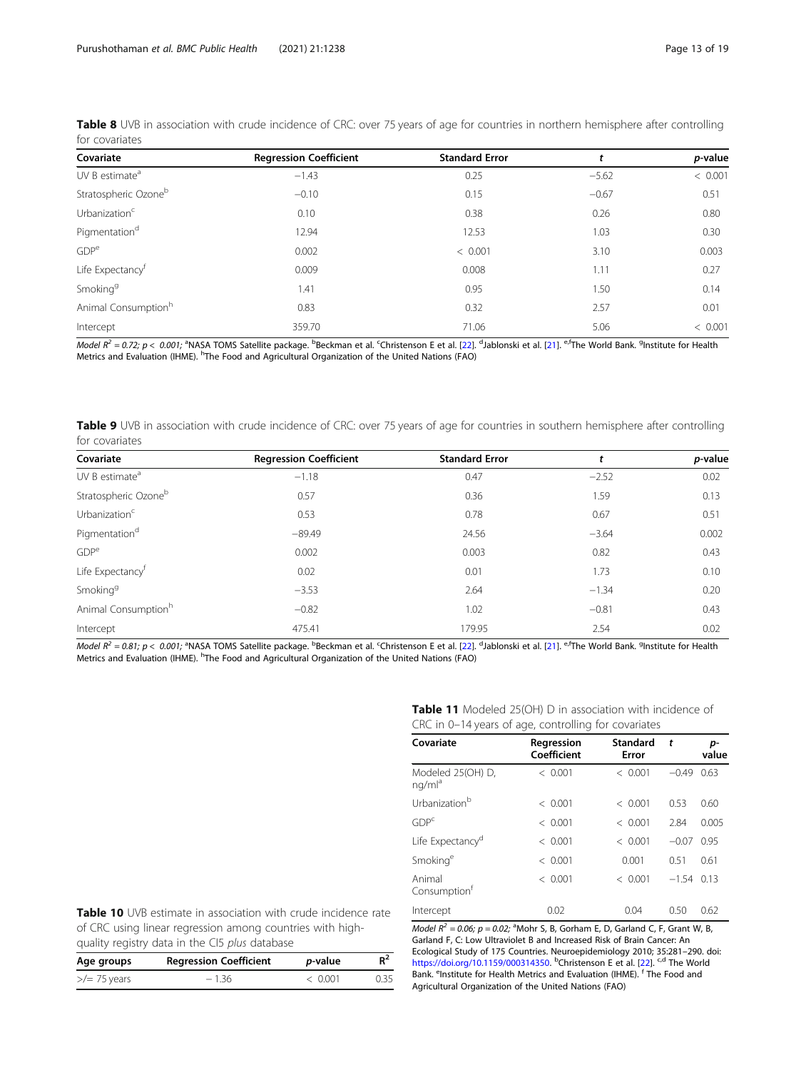| Covariate                        | <b>Regression Coefficient</b> | <b>Standard Error</b> |         | p-value |
|----------------------------------|-------------------------------|-----------------------|---------|---------|
| UV B estimate <sup>a</sup>       | $-1.43$                       | 0.25                  | $-5.62$ | < 0.001 |
| Stratospheric Ozone <sup>b</sup> | $-0.10$                       | 0.15                  | $-0.67$ | 0.51    |
| Urbanization <sup>c</sup>        | 0.10                          | 0.38                  | 0.26    | 0.80    |
| Pigmentation <sup>d</sup>        | 12.94                         | 12.53                 | 1.03    | 0.30    |
| GDP <sup>e</sup>                 | 0.002                         | < 0.001               | 3.10    | 0.003   |
| Life Expectancy <sup>†</sup>     | 0.009                         | 0.008                 | 1.11    | 0.27    |
| Smoking <sup>9</sup>             | 1.41                          | 0.95                  | 1.50    | 0.14    |
| Animal Consumption <sup>h</sup>  | 0.83                          | 0.32                  | 2.57    | 0.01    |
| Intercept                        | 359.70                        | 71.06                 | 5.06    | < 0.001 |

Table 8 UVB in association with crude incidence of CRC: over 75 years of age for countries in northern hemisphere after controlling for covariates

Model  $R^2 =$  0.72; p < 0.001; <sup>a</sup>NASA TOMS Satellite package. <sup>b</sup>Beckman et al. <sup>c</sup>Christenson E et al. [[22\]](#page-17-0). <sup>d</sup>Jablonski et al. [\[21\]](#page-17-0). <sup>e,f</sup>The World Bank. <sup>9</sup>Institute for Health Metrics and Evaluation (IHME). <sup>h</sup>The Food and Agricultural Organization of the United Nations (FAO)

Table 9 UVB in association with crude incidence of CRC: over 75 years of age for countries in southern hemisphere after controlling for covariates

| Covariate                       | <b>Regression Coefficient</b> | <b>Standard Error</b> |         | p-value |
|---------------------------------|-------------------------------|-----------------------|---------|---------|
| UV B estimate <sup>a</sup>      | $-1.18$                       | 0.47                  | $-2.52$ | 0.02    |
| Stratospheric Ozoneb            | 0.57                          | 0.36                  | 1.59    | 0.13    |
| Urbanization <sup>c</sup>       | 0.53                          | 0.78                  | 0.67    | 0.51    |
| Pigmentation <sup>d</sup>       | $-89.49$                      | 24.56                 | $-3.64$ | 0.002   |
| GDP <sup>e</sup>                | 0.002                         | 0.003                 | 0.82    | 0.43    |
| Life Expectancy <sup>f</sup>    | 0.02                          | 0.01                  | 1.73    | 0.10    |
| Smoking <sup>9</sup>            | $-3.53$                       | 2.64                  | $-1.34$ | 0.20    |
| Animal Consumption <sup>h</sup> | $-0.82$                       | 1.02                  | $-0.81$ | 0.43    |
| Intercept                       | 475.41                        | 179.95                | 2.54    | 0.02    |

Model  $R^2 = 0.81; p < 0.001;$  ªNASA TOMS Satellite package. <sup>b</sup>Beckman et al. <sup>c</sup>Christenson E et al. [[22\]](#page-17-0). <sup>d</sup>Jablonski et al. [\[21\]](#page-17-0). <sup>e,f</sup>The World Bank. <sup>g</sup>Institute for Health Metrics and Evaluation (IHME). <sup>h</sup>The Food and Agricultural Organization of the United Nations (FAO)

| CRC in 0-14 years of age, controlling for covariates                                                           |                           |                   |         |             |  |
|----------------------------------------------------------------------------------------------------------------|---------------------------|-------------------|---------|-------------|--|
| Covariate                                                                                                      | Regression<br>Coefficient | Standard<br>Error | t       | p-<br>value |  |
| Modeled 25(OH) D,<br>nq/ml <sup>a</sup>                                                                        | < 0.001                   | < 0.001           | $-0.49$ | 0.63        |  |
| Urbanization <sup>b</sup>                                                                                      | < 0.001                   | < 0.001           | 0.53    | 0.60        |  |
| GDP <sup>c</sup>                                                                                               | < 0.001                   | < 0.001           | 2.84    | 0.005       |  |
| Life Expectancy <sup>d</sup>                                                                                   | < 0.001                   | < 0.001           | $-0.07$ | 0.95        |  |
| Smoking <sup>e</sup>                                                                                           | < 0.001                   | 0.001             | 0.51    | 0.61        |  |
| Animal<br>Consumption <sup>t</sup>                                                                             | < 0.001                   | < 0.001           | $-1.54$ | 0.13        |  |
| Intercept                                                                                                      | 0.02                      | 0.04              | 0.50    | 0.62        |  |
| <i>Model R<sup>2</sup></i> = 0.06; $p = 0.02$ ; <sup>a</sup> Mohr S, B, Gorham E, D, Garland C, F, Grant W, B, |                           |                   |         |             |  |

Table 10 UVB estimate in association with crude incidence rate of CRC using linear regression among countries with highquality registry data in the CI5 plus database

| Age groups           | <b>Regression Coefficient</b> | <i>p</i> -value | $R^2$ |
|----------------------|-------------------------------|-----------------|-------|
| $\ge$ / $=$ 75 years | $-136$                        | $\langle$ 0.001 | 0.35  |

Table 11 Modeled 25(OH) D in association with incidence of

Garland F, C: Low Ultraviolet B and Increased Risk of Brain Cancer: An Ecological Study of 175 Countries. Neuroepidemiology 2010; 35:281–290. doi: <https://doi.org/10.1159/000314350>. <sup>b</sup>Christenson E et al. [\[22](#page-17-0)]. <sup>c,d</sup> The World Bank. <sup>e</sup>Institute for Health Metrics and Evaluation (IHME). <sup>f</sup> The Food and Agricultural Organization of the United Nations (FAO)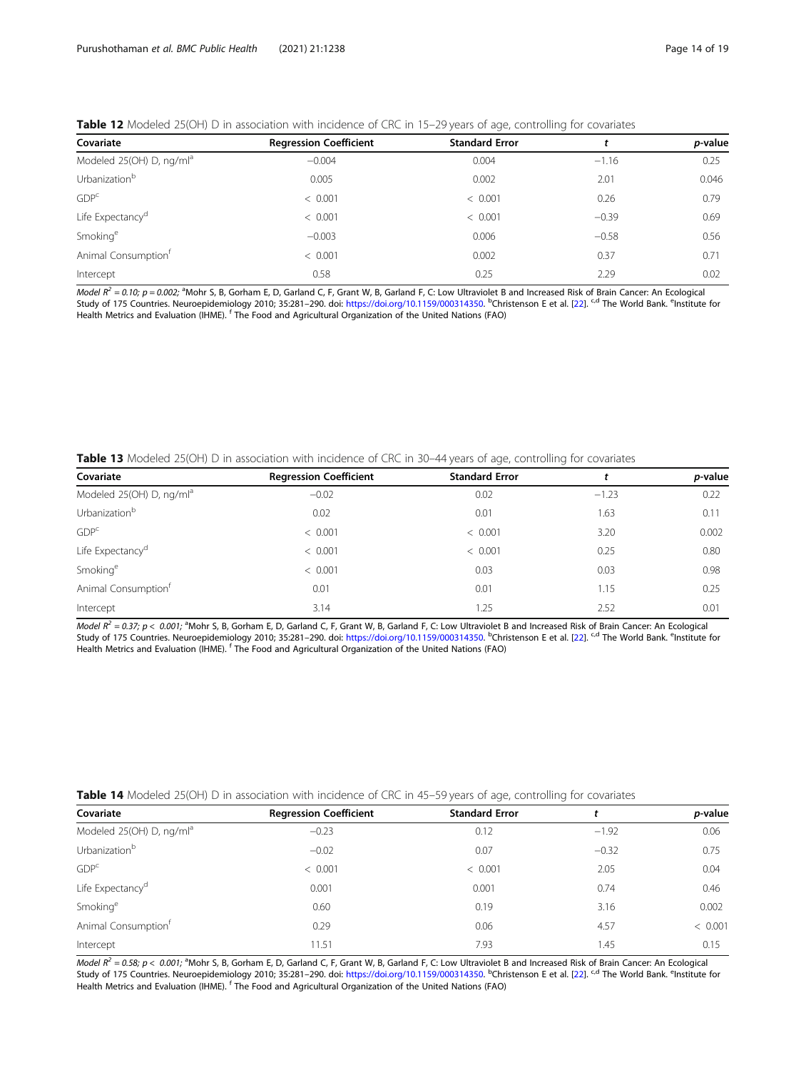#### Table 12 Modeled 25(OH) D in association with incidence of CRC in 15-29 years of age, controlling for covariates

| Covariate                            | <b>Regression Coefficient</b> | <b>Standard Error</b> |         | p-value |
|--------------------------------------|-------------------------------|-----------------------|---------|---------|
| Modeled 25(OH) D, ng/ml <sup>a</sup> | $-0.004$                      | 0.004                 | $-1.16$ | 0.25    |
| Urbanization <sup>b</sup>            | 0.005                         | 0.002                 | 2.01    | 0.046   |
| GDP <sup>c</sup>                     | < 0.001                       | < 0.001               | 0.26    | 0.79    |
| Life Expectancy <sup>d</sup>         | < 0.001                       | < 0.001               | $-0.39$ | 0.69    |
| Smoking <sup>e</sup>                 | $-0.003$                      | 0.006                 | $-0.58$ | 0.56    |
| Animal Consumption <sup>†</sup>      | < 0.001                       | 0.002                 | 0.37    | 0.71    |
| Intercept                            | 0.58                          | 0.25                  | 2.29    | 0.02    |

*Model R<sup>2</sup>* = 0.10; p = 0.002; <sup>a</sup>Mohr S, B, Gorham E, D, Garland C, F, Grant W, B, Garland F, C: Low Ultraviolet B and Increased Risk of Brain Cancer: An Ecological Study of 175 Countries. Neuroepidemiology 2010; 35:281–290. doi: <https://doi.org/10.1159/000314350>. <sup>b</sup>Christenson E et al. [\[22](#page-17-0)]. <sup>c,d</sup> The World Bank. <sup>e</sup>Institute for Health Metrics and Evaluation (IHME). <sup>f</sup> The Food and Agricultural Organization of the United Nations (FAO)

Table 13 Modeled 25(OH) D in association with incidence of CRC in 30-44 years of age, controlling for covariates

| Covariate                            | <b>Regression Coefficient</b> | <b>Standard Error</b> |         | p-value |
|--------------------------------------|-------------------------------|-----------------------|---------|---------|
| Modeled 25(OH) D, ng/ml <sup>a</sup> | $-0.02$                       | 0.02                  | $-1.23$ | 0.22    |
| Urbanization <sup>b</sup>            | 0.02                          | 0.01                  | 1.63    | 0.11    |
| GDP <sup>c</sup>                     | < 0.001                       | < 0.001               | 3.20    | 0.002   |
| Life Expectancy <sup>d</sup>         | < 0.001                       | < 0.001               | 0.25    | 0.80    |
| Smoking <sup>e</sup>                 | < 0.001                       | 0.03                  | 0.03    | 0.98    |
| Animal Consumption <sup>†</sup>      | 0.01                          | 0.01                  | 1.15    | 0.25    |
| Intercept                            | 3.14                          | 1.25                  | 2.52    | 0.01    |

Model  $R^2$  = 0.37; p < 0.001; <sup>a</sup>Mohr S, B, Gorham E, D, Garland C, F, Grant W, B, Garland F, C: Low Ultraviolet B and Increased Risk of Brain Cancer: An Ecological Study of 175 Countries. Neuroepidemiology 2010; 35:281–290. doi: <https://doi.org/10.1159/000314350>. <sup>b</sup>Christenson E et al. [\[22](#page-17-0)]. <sup>c,d</sup> The World Bank. <sup>e</sup>Institute for Health Metrics and Evaluation (IHME). <sup>f</sup> The Food and Agricultural Organization of the United Nations (FAO)

| Table 14 Modeled 25(OH) D in association with incidence of CRC in 45-59 years of age, controlling for covariates |  |  |
|------------------------------------------------------------------------------------------------------------------|--|--|
|------------------------------------------------------------------------------------------------------------------|--|--|

| Covariate                            | <b>Regression Coefficient</b> | <b>Standard Error</b> |         | p-value |
|--------------------------------------|-------------------------------|-----------------------|---------|---------|
| Modeled 25(OH) D, ng/ml <sup>a</sup> | $-0.23$                       | 0.12                  | $-1.92$ | 0.06    |
| Urbanization <sup>b</sup>            | $-0.02$                       | 0.07                  | $-0.32$ | 0.75    |
| GDP <sup>c</sup>                     | < 0.001                       | < 0.001               | 2.05    | 0.04    |
| Life Expectancy <sup>d</sup>         | 0.001                         | 0.001                 | 0.74    | 0.46    |
| Smoking <sup>e</sup>                 | 0.60                          | 0.19                  | 3.16    | 0.002   |
| Animal Consumption <sup>t</sup>      | 0.29                          | 0.06                  | 4.57    | < 0.001 |
| Intercept                            | 11.51                         | 7.93                  | 1.45    | 0.15    |

Model  $R^2 = 0.58$ ; p < 0.001; <sup>a</sup>Mohr S, B, Gorham E, D, Garland C, F, Grant W, B, Garland F, C: Low Ultraviolet B and Increased Risk of Brain Cancer: An Ecological Study of 175 Countries. Neuroepidemiology 2010; 35:281-290. doi: <https://doi.org/10.1159/000314350>. <sup>b</sup>Christenson E et al. [\[22](#page-17-0)]. <sup>c,d</sup> The World Bank. <sup>e</sup>Institute for Health Metrics and Evaluation (IHME). <sup>f</sup> The Food and Agricultural Organization of the United Nations (FAO)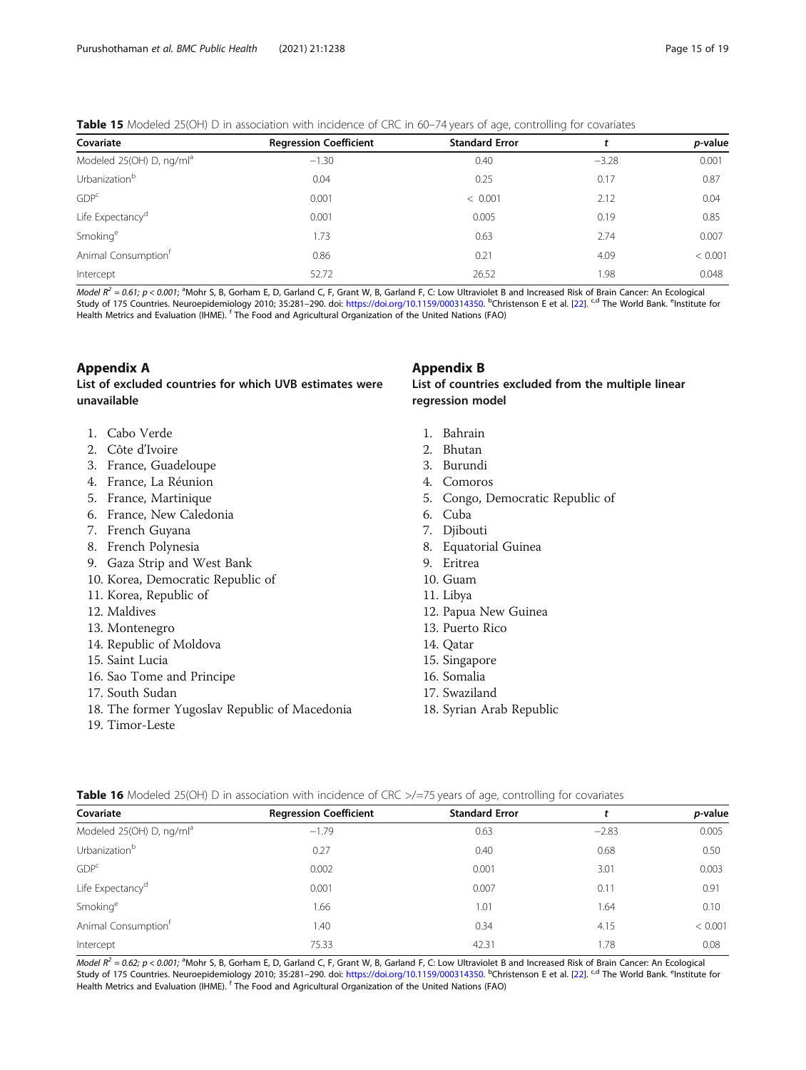#### <span id="page-14-0"></span>Table 15 Modeled 25(OH) D in association with incidence of CRC in 60-74 years of age, controlling for covariates

| Covariate                            | <b>Regression Coefficient</b> | <b>Standard Error</b> |         | <i>p</i> -value |
|--------------------------------------|-------------------------------|-----------------------|---------|-----------------|
| Modeled 25(OH) D, ng/ml <sup>a</sup> | $-1.30$                       | 0.40                  | $-3.28$ | 0.001           |
| Urbanization <sup>b</sup>            | 0.04                          | 0.25                  | 0.17    | 0.87            |
| GDP <sup>c</sup>                     | 0.001                         | < 0.001               | 2.12    | 0.04            |
| Life Expectancy <sup>d</sup>         | 0.001                         | 0.005                 | 0.19    | 0.85            |
| Smoking <sup>e</sup>                 | 1.73                          | 0.63                  | 2.74    | 0.007           |
| Animal Consumption <sup>†</sup>      | 0.86                          | 0.21                  | 4.09    | < 0.001         |
| Intercept                            | 52.72                         | 26.52                 | 1.98    | 0.048           |

*Model R<sup>2</sup>* = 0.61; p < 0.001; <sup>a</sup>Mohr S, B, Gorham E, D, Garland C, F, Grant W, B, Garland F, C: Low Ultraviolet B and Increased Risk of Brain Cancer: An Ecological Study of 175 Countries. Neuroepidemiology 2010; 35:281–290. doi: <https://doi.org/10.1159/000314350>. <sup>b</sup>Christenson E et al. [\[22](#page-17-0)]. <sup>c,d</sup> The World Bank. <sup>e</sup>Institute for Health Metrics and Evaluation (IHME). <sup>f</sup> The Food and Agricultural Organization of the United Nations (FAO)

## Appendix A

#### List of excluded countries for which UVB estimates were unavailable

- 1. Cabo Verde
- 2. Côte d'Ivoire
- 3. France, Guadeloupe
- 4. France, La Réunion
- 5. France, Martinique
- 6. France, New Caledonia
- 7. French Guyana
- 8. French Polynesia
- 9. Gaza Strip and West Bank
- 10. Korea, Democratic Republic of
- 11. Korea, Republic of
- 12. Maldives
- 13. Montenegro
- 14. Republic of Moldova
- 15. Saint Lucia
- 16. Sao Tome and Principe
- 17. South Sudan
- 18. The former Yugoslav Republic of Macedonia
- 19. Timor-Leste

#### Appendix B

#### List of countries excluded from the multiple linear regression model

- 1. Bahrain
- 2. Bhutan
- 3. Burundi
- 4. Comoros
- 5. Congo, Democratic Republic of
- 6. Cuba
- 7. Djibouti
- 8. Equatorial Guinea
- 9. Eritrea
- 10. Guam
- 11. Libya
- 12. Papua New Guinea
- 13. Puerto Rico
- 14. Qatar
- 15. Singapore
- 16. Somalia
- 17. Swaziland
- 18. Syrian Arab Republic

Table 16 Modeled 25(OH) D in association with incidence of CRC >/=75 years of age, controlling for covariates

| Covariate                            | <b>Regression Coefficient</b> | <b>Standard Error</b> |         | <i>p</i> -value |
|--------------------------------------|-------------------------------|-----------------------|---------|-----------------|
| Modeled 25(OH) D, ng/ml <sup>a</sup> | $-1.79$                       | 0.63                  | $-2.83$ | 0.005           |
| Urbanization <sup>b</sup>            | 0.27                          | 0.40                  | 0.68    | 0.50            |
| GDP <sup>c</sup>                     | 0.002                         | 0.001                 | 3.01    | 0.003           |
| Life Expectancy <sup>d</sup>         | 0.001                         | 0.007                 | 0.11    | 0.91            |
| Smoking <sup>e</sup>                 | 1.66                          | 1.01                  | 1.64    | 0.10            |
| Animal Consumption <sup>t</sup>      | 1.40                          | 0.34                  | 4.15    | < 0.001         |
| Intercept                            | 75.33                         | 42.31                 | 1.78    | 0.08            |

Model  $R^2 = 0.62$ ; p < 0.001; <sup>a</sup>Mohr S, B, Gorham E, D, Garland C, F, Grant W, B, Garland F, C: Low Ultraviolet B and Increased Risk of Brain Cancer: An Ecological Study of 175 Countries. Neuroepidemiology 2010; 35:281-290. doi: <https://doi.org/10.1159/000314350>. <sup>b</sup>Christenson E et al. [\[22](#page-17-0)]. <sup>c,d</sup> The World Bank. <sup>e</sup>Institute for Health Metrics and Evaluation (IHME). <sup>f</sup> The Food and Agricultural Organization of the United Nations (FAO)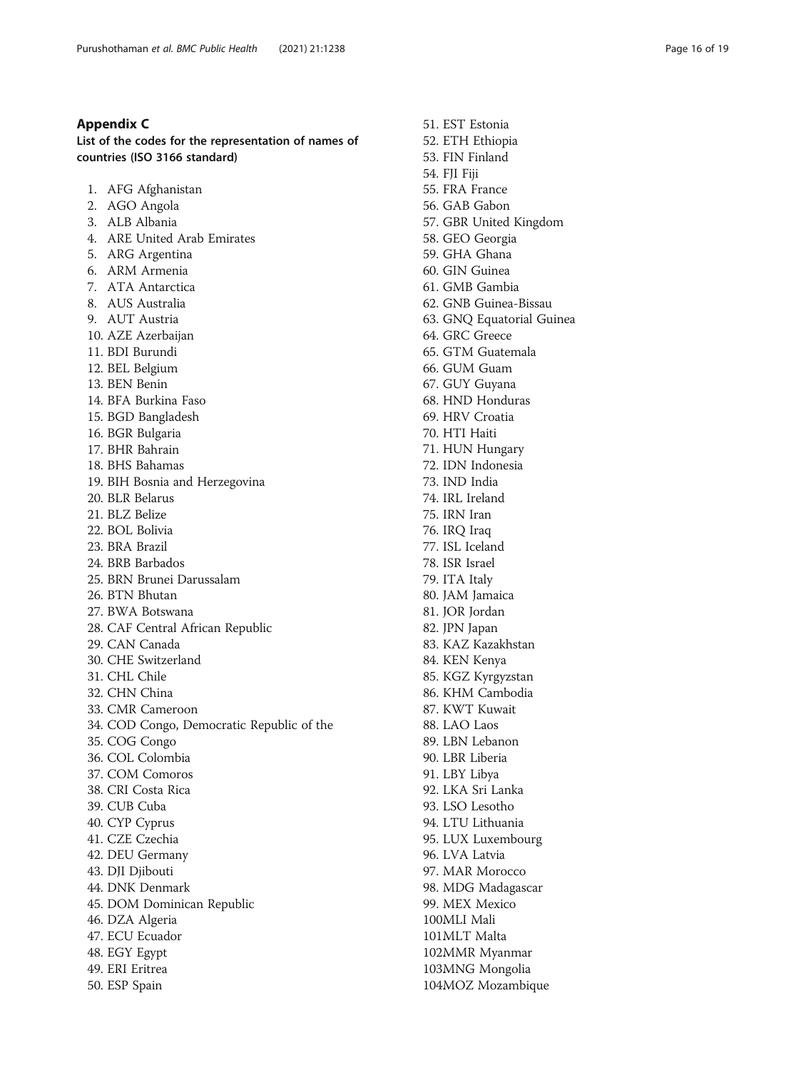#### <span id="page-15-0"></span>Appendix C

List of the codes for the representation of names of countries (ISO 3166 standard)

1. AFG Afghanistan 2. AGO Angola 3. ALB Albania 4. ARE United Arab Emirates 5. ARG Argentina 6. ARM Armenia 7. ATA Antarctica 8. AUS Australia 9. AUT Austria 10. AZE Azerbaijan 11. BDI Burundi 12. BEL Belgium 13. BEN Benin 14. BFA Burkina Faso 15. BGD Bangladesh 16. BGR Bulgaria 17. BHR Bahrain 18. BHS Bahamas 19. BIH Bosnia and Herzegovina 20. BLR Belarus 21. BLZ Belize 22. BOL Bolivia 23. BRA Brazil 24. BRB Barbados 25. BRN Brunei Darussalam 26. BTN Bhutan 27. BWA Botswana 28. CAF Central African Republic 29. CAN Canada 30. CHE Switzerland 31. CHL Chile 32. CHN China 33. CMR Cameroon 34. COD Congo, Democratic Republic of the 35. COG Congo 36. COL Colombia 37. COM Comoros 38. CRI Costa Rica 39. CUB Cuba 40. CYP Cyprus 41. CZE Czechia 42. DEU Germany 43. DJI Djibouti 44. DNK Denmark 45. DOM Dominican Republic 46. DZA Algeria 47. ECU Ecuador 48. EGY Egypt 49. ERI Eritrea 50. ESP Spain

51. EST Estonia 52. ETH Ethiopia 53. FIN Finland 54. FJI Fiji 55. FRA France 56. GAB Gabon 57. GBR United Kingdom 58. GEO Georgia 59. GHA Ghana 60. GIN Guinea 61. GMB Gambia 62. GNB Guinea-Bissau 63. GNQ Equatorial Guinea 64. GRC Greece 65. GTM Guatemala 66. GUM Guam 67. GUY Guyana 68. HND Honduras 69. HRV Croatia 70. HTI Haiti 71. HUN Hungary 72. IDN Indonesia 73. IND India 74. IRL Ireland 75. IRN Iran 76. IRQ Iraq 77. ISL Iceland 78. ISR Israel 79. ITA Italy 80. JAM Jamaica 81. JOR Jordan 82. JPN Japan 83. KAZ Kazakhstan 84. KEN Kenya 85. KGZ Kyrgyzstan 86. KHM Cambodia 87. KWT Kuwait 88. LAO Laos 89. LBN Lebanon 90. LBR Liberia 91. LBY Libya 92. LKA Sri Lanka 93. LSO Lesotho 94. LTU Lithuania 95. LUX Luxembourg 96. LVA Latvia 97. MAR Morocco 98. MDG Madagascar 99. MEX Mexico 100.MLI Mali 101MLT Malta 102MMR Myanmar 103MNG Mongolia 104MOZ Mozambique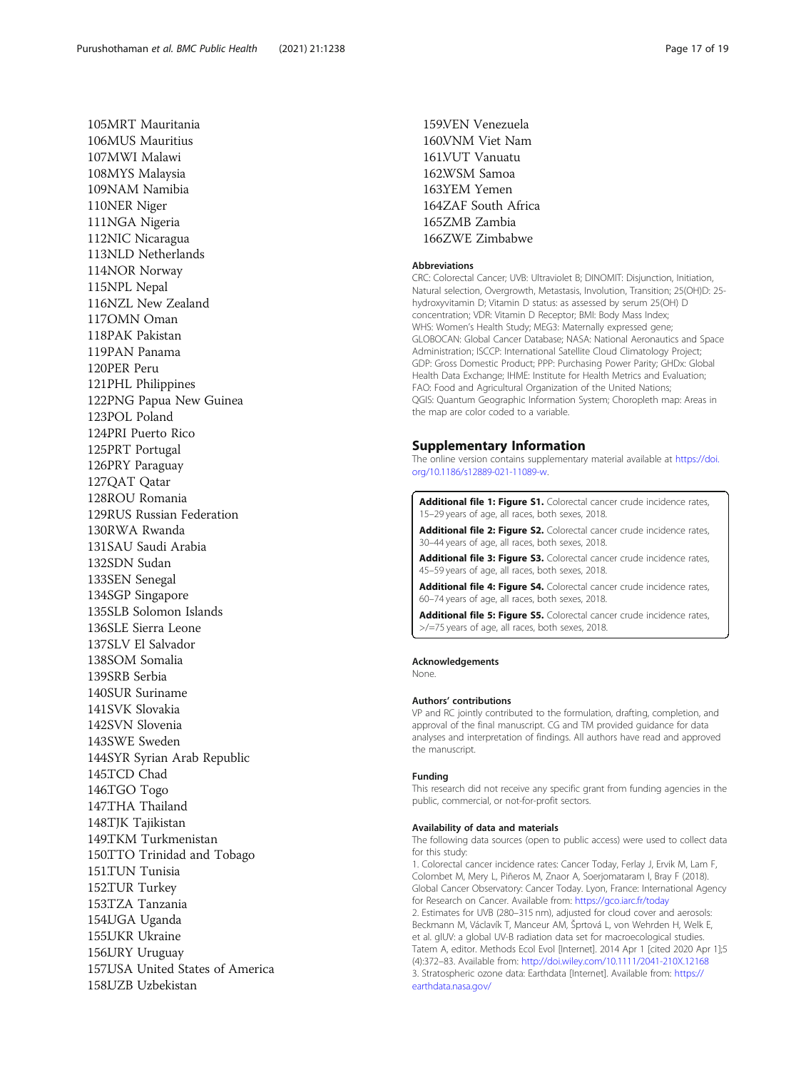<span id="page-16-0"></span>105.MRT Mauritania 106.MUS Mauritius 107.MWI Malawi 108.MYS Malaysia 109NAM Namibia 110NER Niger 111NGA Nigeria 112NIC Nicaragua 113.NLD Netherlands 114NOR Norway 115.NPL Nepal 116NZL New Zealand 1170MN Oman 118PAK Pakistan 119PAN Panama 120.PER Peru 121PHL Philippines 122PNG Papua New Guinea 123POL Poland 124.PRI Puerto Rico 125PRT Portugal 126PRY Paraguay 127OAT Oatar 128.ROU Romania 129RUS Russian Federation 130RWA Rwanda 131.SAU Saudi Arabia 132SDN Sudan 133SEN Senegal 134SGP Singapore 135.SLB Solomon Islands 136.SLE Sierra Leone 137.SLV El Salvador 138.SOM Somalia 139.SRB Serbia 140.SUR Suriname 141SVK Slovakia 142.SVN Slovenia 143.SWE Sweden 144SYR Syrian Arab Republic 145.TCD Chad 146.TGO Togo 147.THA Thailand 148.TJK Tajikistan 149.TKM Turkmenistan 150.TTO Trinidad and Tobago 151.TUN Tunisia 152.TUR Turkey 153.TZA Tanzania 154UGA Uganda 155.UKR Ukraine 156.URY Uruguay 157.USA United States of America 158.UZB Uzbekistan

159.VEN Venezuela 160.VNM Viet Nam 161.VUT Vanuatu 162.WSM Samoa 163.YEM Yemen 164ZAF South Africa 165.ZMB Zambia 166ZWE Zimbabwe

#### Abbreviations

CRC: Colorectal Cancer; UVB: Ultraviolet B; DINOMIT: Disjunction, Initiation, Natural selection, Overgrowth, Metastasis, Involution, Transition; 25(OH)D: 25 hydroxyvitamin D; Vitamin D status: as assessed by serum 25(OH) D concentration; VDR: Vitamin D Receptor; BMI: Body Mass Index; WHS: Women's Health Study; MEG3: Maternally expressed gene; GLOBOCAN: Global Cancer Database; NASA: National Aeronautics and Space Administration; ISCCP: International Satellite Cloud Climatology Project; GDP: Gross Domestic Product; PPP: Purchasing Power Parity; GHDx: Global Health Data Exchange; IHME: Institute for Health Metrics and Evaluation; FAO: Food and Agricultural Organization of the United Nations; QGIS: Quantum Geographic Information System; Choropleth map: Areas in the map are color coded to a variable.

#### Supplementary Information

The online version contains supplementary material available at [https://doi.](https://doi.org/10.1186/s12889-021-11089-w) [org/10.1186/s12889-021-11089-w](https://doi.org/10.1186/s12889-021-11089-w).

Additional file 1: Figure S1. Colorectal cancer crude incidence rates, 15–29 years of age, all races, both sexes, 2018.

Additional file 2: Figure S2. Colorectal cancer crude incidence rates, 30–44 years of age, all races, both sexes, 2018.

Additional file 3: Figure S3. Colorectal cancer crude incidence rates, 45–59 years of age, all races, both sexes, 2018.

Additional file 4: Figure S4. Colorectal cancer crude incidence rates, 60–74 years of age, all races, both sexes, 2018.

Additional file 5: Figure S5. Colorectal cancer crude incidence rates, >/=75 years of age, all races, both sexes, 2018.

#### Acknowledgements

None.

#### Authors' contributions

VP and RC jointly contributed to the formulation, drafting, completion, and approval of the final manuscript. CG and TM provided guidance for data analyses and interpretation of findings. All authors have read and approved the manuscript.

#### Funding

This research did not receive any specific grant from funding agencies in the public, commercial, or not-for-profit sectors.

#### Availability of data and materials

The following data sources (open to public access) were used to collect data for this study:

1. Colorectal cancer incidence rates: Cancer Today, Ferlay J, Ervik M, Lam F, Colombet M, Mery L, Piñeros M, Znaor A, Soerjomataram I, Bray F (2018). Global Cancer Observatory: Cancer Today. Lyon, France: International Agency for Research on Cancer. Available from: <https://gco.iarc.fr/today> 2. Estimates for UVB (280–315 nm), adjusted for cloud cover and aerosols: Beckmann M, Václavík T, Manceur AM, Šprtová L, von Wehrden H, Welk E, et al. glUV: a global UV-B radiation data set for macroecological studies. Tatem A, editor. Methods Ecol Evol [Internet]. 2014 Apr 1 [cited 2020 Apr 1];5 (4):372–83. Available from: [http://doi.wiley.com/10.1111/2041-210X.12168](http://dx.doi.org/10.1111/2041-210X.12168) 3. Stratospheric ozone data: Earthdata [Internet]. Available from: [https://](https://earthdata.nasa.gov/) [earthdata.nasa.gov/](https://earthdata.nasa.gov/)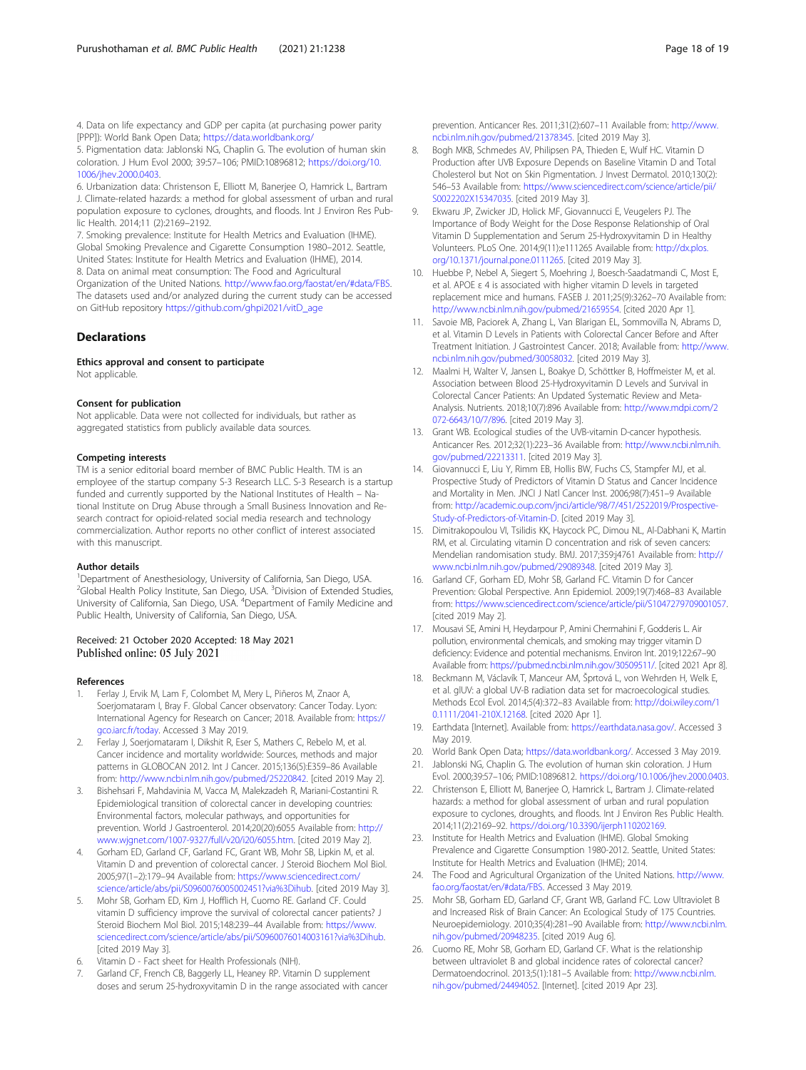<span id="page-17-0"></span>4. Data on life expectancy and GDP per capita (at purchasing power parity [PPP]): World Bank Open Data; <https://data.worldbank.org/>

5. Pigmentation data: Jablonski NG, Chaplin G. The evolution of human skin coloration. J Hum Evol 2000; 39:57–106; PMID:10896812; [https://doi.org/10.](https://doi.org/10.1006/jhev.2000.0403) [1006/jhev.2000.0403](https://doi.org/10.1006/jhev.2000.0403).

6. Urbanization data: Christenson E, Elliott M, Banerjee O, Hamrick L, Bartram J. Climate-related hazards: a method for global assessment of urban and rural population exposure to cyclones, droughts, and floods. Int J Environ Res Public Health. 2014;11 (2):2169–2192.

7. Smoking prevalence: Institute for Health Metrics and Evaluation (IHME). Global Smoking Prevalence and Cigarette Consumption 1980–2012. Seattle, United States: Institute for Health Metrics and Evaluation (IHME), 2014. 8. Data on animal meat consumption: The Food and Agricultural

Organization of the United Nations. <http://www.fao.org/faostat/en/#data/FBS>. The datasets used and/or analyzed during the current study can be accessed on GitHub repository [https://github.com/ghpi2021/vitD\\_age](https://github.com/ghpi2021/vitD_age)

#### **Declarations**

Ethics approval and consent to participate Not applicable.

#### Consent for publication

Not applicable. Data were not collected for individuals, but rather as aggregated statistics from publicly available data sources.

#### Competing interests

TM is a senior editorial board member of BMC Public Health. TM is an employee of the startup company S-3 Research LLC. S-3 Research is a startup funded and currently supported by the National Institutes of Health – National Institute on Drug Abuse through a Small Business Innovation and Research contract for opioid-related social media research and technology commercialization. Author reports no other conflict of interest associated with this manuscript.

#### Author details

<sup>1</sup>Department of Anesthesiology, University of California, San Diego, USA. <sup>2</sup>Global Health Policy Institute, San Diego, USA. <sup>3</sup>Division of Extended Studies, University of California, San Diego, USA. <sup>4</sup>Department of Family Medicine and Public Health, University of California, San Diego, USA.

#### Received: 21 October 2020 Accepted: 18 May 2021 Published online: 05 July 2021

#### References

- 1. Ferlay J, Ervik M, Lam F, Colombet M, Mery L, Piñeros M, Znaor A, Soerjomataram I, Bray F. Global Cancer observatory: Cancer Today. Lyon: International Agency for Research on Cancer; 2018. Available from: [https://](https://gco.iarc.fr/today) [gco.iarc.fr/today](https://gco.iarc.fr/today). Accessed 3 May 2019.
- 2. Ferlay J, Soerjomataram I, Dikshit R, Eser S, Mathers C, Rebelo M, et al. Cancer incidence and mortality worldwide: Sources, methods and major patterns in GLOBOCAN 2012. Int J Cancer. 2015;136(5):E359–86 Available from: <http://www.ncbi.nlm.nih.gov/pubmed/25220842>. [cited 2019 May 2].
- 3. Bishehsari F, Mahdavinia M, Vacca M, Malekzadeh R, Mariani-Costantini R. Epidemiological transition of colorectal cancer in developing countries: Environmental factors, molecular pathways, and opportunities for prevention. World J Gastroenterol. 2014;20(20):6055 Available from: [http://](http://www.wjgnet.com/1007-9327/full/v20/i20/6055.htm) [www.wjgnet.com/1007-9327/full/v20/i20/6055.htm.](http://www.wjgnet.com/1007-9327/full/v20/i20/6055.htm) [cited 2019 May 2].
- Gorham ED, Garland CF, Garland FC, Grant WB, Mohr SB, Lipkin M, et al. Vitamin D and prevention of colorectal cancer. J Steroid Biochem Mol Biol. 2005;97(1–2):179–94 Available from: [https://www.sciencedirect.com/](https://www.sciencedirect.com/science/article/abs/pii/S0960076005002451?via%3Dihub) [science/article/abs/pii/S0960076005002451?via%3Dihub](https://www.sciencedirect.com/science/article/abs/pii/S0960076005002451?via%3Dihub). [cited 2019 May 3].
- 5. Mohr SB, Gorham ED, Kim J, Hofflich H, Cuomo RE. Garland CF. Could vitamin D sufficiency improve the survival of colorectal cancer patients? J Steroid Biochem Mol Biol. 2015;148:239–44 Available from: [https://www.](https://www.sciencedirect.com/science/article/abs/pii/S0960076014003161?via%3Dihub) [sciencedirect.com/science/article/abs/pii/S0960076014003161?via%3Dihub.](https://www.sciencedirect.com/science/article/abs/pii/S0960076014003161?via%3Dihub) [cited 2019 May 3].
- Vitamin D Fact sheet for Health Professionals (NIH).
- Garland CF, French CB, Baggerly LL, Heaney RP. Vitamin D supplement doses and serum 25-hydroxyvitamin D in the range associated with cancer

prevention. Anticancer Res. 2011;31(2):607–11 Available from: [http://www.](http://www.ncbi.nlm.nih.gov/pubmed/21378345) [ncbi.nlm.nih.gov/pubmed/21378345](http://www.ncbi.nlm.nih.gov/pubmed/21378345). [cited 2019 May 3].

- 8. Bogh MKB, Schmedes AV, Philipsen PA, Thieden E, Wulf HC. Vitamin D Production after UVB Exposure Depends on Baseline Vitamin D and Total Cholesterol but Not on Skin Pigmentation. J Invest Dermatol. 2010;130(2): 546–53 Available from: [https://www.sciencedirect.com/science/article/pii/](https://www.sciencedirect.com/science/article/pii/S0022202X15347035) [S0022202X15347035](https://www.sciencedirect.com/science/article/pii/S0022202X15347035). [cited 2019 May 3].
- 9. Ekwaru JP, Zwicker JD, Holick MF, Giovannucci E, Veugelers PJ. The Importance of Body Weight for the Dose Response Relationship of Oral Vitamin D Supplementation and Serum 25-Hydroxyvitamin D in Healthy Volunteers. PLoS One. 2014;9(11):e111265 Available from: [http://dx.plos.](http://dx.doi.org/10.1371/journal.pone.0111265) [org/10.1371/journal.pone.0111265.](http://dx.doi.org/10.1371/journal.pone.0111265) [cited 2019 May 3].
- 10. Huebbe P, Nebel A, Siegert S, Moehring J, Boesch-Saadatmandi C, Most E, et al. APOE ε 4 is associated with higher vitamin D levels in targeted replacement mice and humans. FASEB J. 2011;25(9):3262–70 Available from: [http://www.ncbi.nlm.nih.gov/pubmed/21659554.](http://www.ncbi.nlm.nih.gov/pubmed/21659554) [cited 2020 Apr 1].
- 11. Savoie MB, Paciorek A, Zhang L, Van Blarigan EL, Sommovilla N, Abrams D, et al. Vitamin D Levels in Patients with Colorectal Cancer Before and After Treatment Initiation. J Gastrointest Cancer. 2018; Available from: [http://www.](http://www.ncbi.nlm.nih.gov/pubmed/30058032) [ncbi.nlm.nih.gov/pubmed/30058032](http://www.ncbi.nlm.nih.gov/pubmed/30058032). [cited 2019 May 3].
- 12. Maalmi H, Walter V, Jansen L, Boakye D, Schöttker B, Hoffmeister M, et al. Association between Blood 25-Hydroxyvitamin D Levels and Survival in Colorectal Cancer Patients: An Updated Systematic Review and Meta-Analysis. Nutrients. 2018;10(7):896 Available from: [http://www.mdpi.com/2](http://www.mdpi.com/2072-6643/10/7/896) [072-6643/10/7/896](http://www.mdpi.com/2072-6643/10/7/896). [cited 2019 May 3].
- 13. Grant WB. Ecological studies of the UVB-vitamin D-cancer hypothesis. Anticancer Res. 2012;32(1):223–36 Available from: [http://www.ncbi.nlm.nih.](http://www.ncbi.nlm.nih.gov/pubmed/22213311) [gov/pubmed/22213311](http://www.ncbi.nlm.nih.gov/pubmed/22213311). [cited 2019 May 3].
- 14. Giovannucci E, Liu Y, Rimm EB, Hollis BW, Fuchs CS, Stampfer MJ, et al. Prospective Study of Predictors of Vitamin D Status and Cancer Incidence and Mortality in Men. JNCI J Natl Cancer Inst. 2006;98(7):451–9 Available from: [http://academic.oup.com/jnci/article/98/7/451/2522019/Prospective-](http://academic.oup.com/jnci/article/98/7/451/2522019/Prospective-Study-of-Predictors-of-Vitamin-D)[Study-of-Predictors-of-Vitamin-D.](http://academic.oup.com/jnci/article/98/7/451/2522019/Prospective-Study-of-Predictors-of-Vitamin-D) [cited 2019 May 3].
- 15. Dimitrakopoulou VI, Tsilidis KK, Haycock PC, Dimou NL, Al-Dabhani K, Martin RM, et al. Circulating vitamin D concentration and risk of seven cancers: Mendelian randomisation study. BMJ. 2017;359:j4761 Available from: [http://](http://www.ncbi.nlm.nih.gov/pubmed/29089348) [www.ncbi.nlm.nih.gov/pubmed/29089348.](http://www.ncbi.nlm.nih.gov/pubmed/29089348) [cited 2019 May 3].
- 16. Garland CF, Gorham ED, Mohr SB, Garland FC. Vitamin D for Cancer Prevention: Global Perspective. Ann Epidemiol. 2009;19(7):468–83 Available from: [https://www.sciencedirect.com/science/article/pii/S1047279709001057.](https://www.sciencedirect.com/science/article/pii/S1047279709001057) [cited 2019 May 2].
- 17. Mousavi SE, Amini H, Heydarpour P, Amini Chermahini F, Godderis L. Air pollution, environmental chemicals, and smoking may trigger vitamin D deficiency: Evidence and potential mechanisms. Environ Int. 2019;122:67–90 Available from: [https://pubmed.ncbi.nlm.nih.gov/30509511/.](https://pubmed.ncbi.nlm.nih.gov/30509511/) [cited 2021 Apr 8].
- 18. Beckmann M, Václavík T, Manceur AM, Šprtová L, von Wehrden H, Welk E, et al. glUV: a global UV-B radiation data set for macroecological studies. Methods Ecol Evol. 2014;5(4):372–83 Available from: [http://doi.wiley.com/1](http://dx.doi.org/10.1111/2041-210X.12168) [0.1111/2041-210X.12168.](http://dx.doi.org/10.1111/2041-210X.12168) [cited 2020 Apr 1].
- 19. Earthdata [Internet]. Available from: <https://earthdata.nasa.gov/>. Accessed 3 May 2019.
- 20. World Bank Open Data; [https://data.worldbank.org/.](https://data.worldbank.org/) Accessed 3 May 2019. 21. Jablonski NG, Chaplin G. The evolution of human skin coloration. J Hum
- Evol. 2000;39:57–106; PMID:10896812. <https://doi.org/10.1006/jhev.2000.0403>. 22. Christenson E, Elliott M, Banerjee O, Hamrick L, Bartram J. Climate-related
- hazards: a method for global assessment of urban and rural population exposure to cyclones, droughts, and floods. Int J Environ Res Public Health. 2014;11(2):2169–92. <https://doi.org/10.3390/ijerph110202169>.
- 23. Institute for Health Metrics and Evaluation (IHME). Global Smoking Prevalence and Cigarette Consumption 1980-2012. Seattle, United States: Institute for Health Metrics and Evaluation (IHME); 2014.
- 24. The Food and Agricultural Organization of the United Nations. [http://www.](http://www.fao.org/faostat/en/#data/FBS) [fao.org/faostat/en/#data/FBS](http://www.fao.org/faostat/en/#data/FBS). Accessed 3 May 2019.
- 25. Mohr SB, Gorham ED, Garland CF, Grant WB, Garland FC. Low Ultraviolet B and Increased Risk of Brain Cancer: An Ecological Study of 175 Countries. Neuroepidemiology. 2010;35(4):281–90 Available from: [http://www.ncbi.nlm.](http://www.ncbi.nlm.nih.gov/pubmed/20948235) [nih.gov/pubmed/20948235](http://www.ncbi.nlm.nih.gov/pubmed/20948235). [cited 2019 Aug 6].
- 26. Cuomo RE, Mohr SB, Gorham ED, Garland CF. What is the relationship between ultraviolet B and global incidence rates of colorectal cancer? Dermatoendocrinol. 2013;5(1):181–5 Available from: [http://www.ncbi.nlm.](http://www.ncbi.nlm.nih.gov/pubmed/24494052) [nih.gov/pubmed/24494052](http://www.ncbi.nlm.nih.gov/pubmed/24494052). [Internet]. [cited 2019 Apr 23].